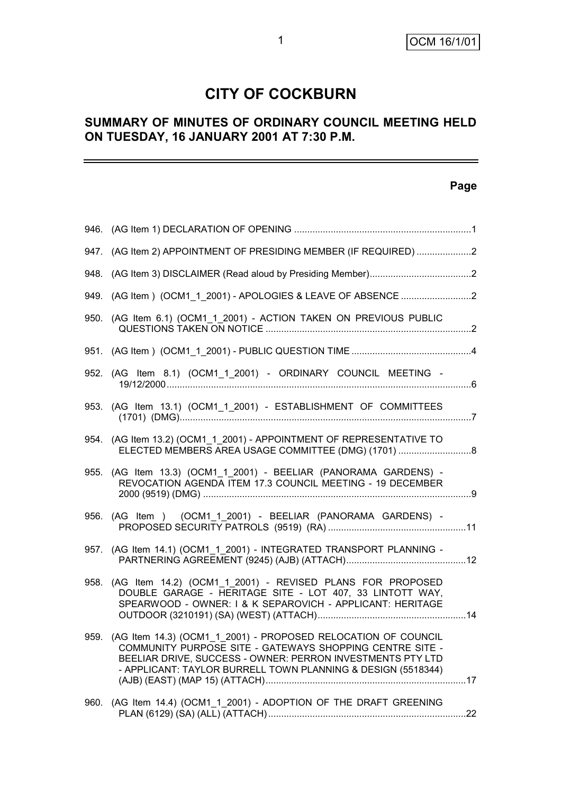# **CITY OF COCKBURN**

## **SUMMARY OF MINUTES OF ORDINARY COUNCIL MEETING HELD ON TUESDAY, 16 JANUARY 2001 AT 7:30 P.M.**

## **Page**

| 947. (AG Item 2) APPOINTMENT OF PRESIDING MEMBER (IF REQUIRED) 2                                                                                                                                                                                             |      |
|--------------------------------------------------------------------------------------------------------------------------------------------------------------------------------------------------------------------------------------------------------------|------|
|                                                                                                                                                                                                                                                              |      |
|                                                                                                                                                                                                                                                              |      |
| 950. (AG Item 6.1) (OCM1_1_2001) - ACTION TAKEN ON PREVIOUS PUBLIC                                                                                                                                                                                           |      |
|                                                                                                                                                                                                                                                              |      |
| 952. (AG Item 8.1) (OCM1_1_2001) - ORDINARY COUNCIL MEETING -                                                                                                                                                                                                |      |
| 953. (AG Item 13.1) (OCM1_1_2001) - ESTABLISHMENT OF COMMITTEES                                                                                                                                                                                              |      |
| 954. (AG Item 13.2) (OCM1_1_2001) - APPOINTMENT OF REPRESENTATIVE TO<br>ELECTED MEMBERS AREA USAGE COMMITTEE (DMG) (1701) 8                                                                                                                                  |      |
| 955. (AG Item 13.3) (OCM1_1_2001) - BEELIAR (PANORAMA GARDENS) -<br>REVOCATION AGENDA ITEM 17.3 COUNCIL MEETING - 19 DECEMBER                                                                                                                                |      |
| 956. (AG Item ) (OCM1_1_2001) - BEELIAR (PANORAMA GARDENS) -                                                                                                                                                                                                 |      |
| (AG Item 14.1) (OCM1 1 2001) - INTEGRATED TRANSPORT PLANNING -                                                                                                                                                                                               | 957. |
| (AG Item 14.2) (OCM1 1 2001) - REVISED PLANS FOR PROPOSED<br>DOUBLE GARAGE - HERITAGE SITE - LOT 407, 33 LINTOTT WAY,<br>SPEARWOOD - OWNER: I & K SEPAROVICH - APPLICANT: HERITAGE                                                                           | 958. |
| 959. (AG Item 14.3) (OCM1_1_2001) - PROPOSED RELOCATION OF COUNCIL<br>COMMUNITY PURPOSE SITE - GATEWAYS SHOPPING CENTRE SITE -<br>BEELIAR DRIVE, SUCCESS - OWNER: PERRON INVESTMENTS PTY LTD<br>- APPLICANT: TAYLOR BURRELL TOWN PLANNING & DESIGN (5518344) |      |
| (AG Item 14.4) (OCM1_1_2001) - ADOPTION OF THE DRAFT GREENING                                                                                                                                                                                                | 960. |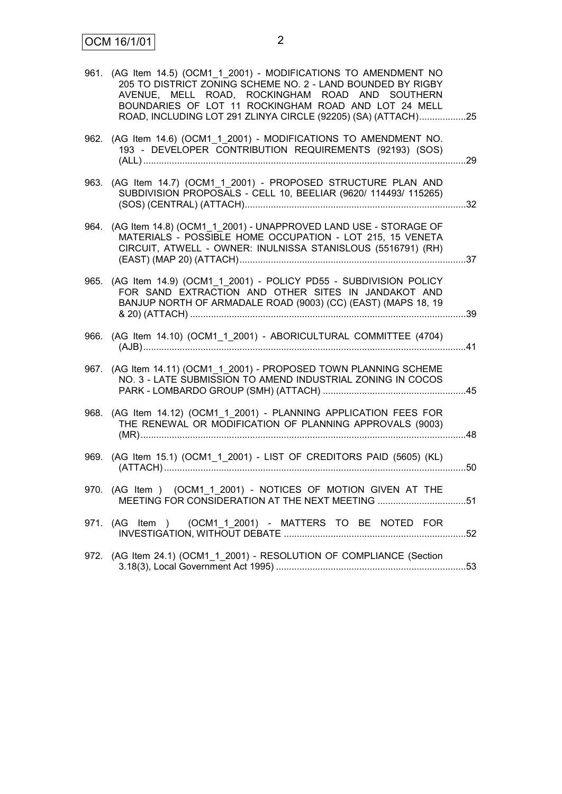| 961. | (AG Item 14.5) (OCM1_1_2001) - MODIFICATIONS TO AMENDMENT NO<br>205 TO DISTRICT ZONING SCHEME NO. 2 - LAND BOUNDED BY RIGBY<br>AVENUE, MELL ROAD, ROCKINGHAM ROAD AND SOUTHERN<br>BOUNDARIES OF LOT 11 ROCKINGHAM ROAD AND LOT 24 MELL<br>ROAD, INCLUDING LOT 291 ZLINYA CIRCLE (92205) (SA) (ATTACH)25 |     |
|------|---------------------------------------------------------------------------------------------------------------------------------------------------------------------------------------------------------------------------------------------------------------------------------------------------------|-----|
|      | 962. (AG Item 14.6) (OCM1_1_2001) - MODIFICATIONS TO AMENDMENT NO.<br>193 - DEVELOPER CONTRIBUTION REQUIREMENTS (92193) (SOS)                                                                                                                                                                           | .29 |
|      | 963. (AG Item 14.7) (OCM1 1 2001) - PROPOSED STRUCTURE PLAN AND<br>SUBDIVISION PROPOSALS - CELL 10, BEELIAR (9620/ 114493/ 115265)                                                                                                                                                                      |     |
| 964. | (AG Item 14.8) (OCM1_1_2001) - UNAPPROVED LAND USE - STORAGE OF<br>MATERIALS - POSSIBLE HOME OCCUPATION - LOT 215, 15 VENETA<br>CIRCUIT, ATWELL - OWNER: INULNISSA STANISLOUS (5516791) (RH)                                                                                                            |     |
| 965. | (AG Item 14.9) (OCM1 1 2001) - POLICY PD55 - SUBDIVISION POLICY<br>FOR SAND EXTRACTION AND OTHER SITES IN JANDAKOT AND<br>BANJUP NORTH OF ARMADALE ROAD (9003) (CC) (EAST) (MAPS 18, 19                                                                                                                 |     |
| 966. | (AG Item 14.10) (OCM1_1_2001) - ABORICULTURAL COMMITTEE (4704)                                                                                                                                                                                                                                          | .41 |
| 967. | (AG Item 14.11) (OCM1_1_2001) - PROPOSED TOWN PLANNING SCHEME<br>NO. 3 - LATE SUBMISSION TO AMEND INDUSTRIAL ZONING IN COCOS                                                                                                                                                                            |     |
| 968. | (AG Item 14.12) (OCM1_1_2001) - PLANNING APPLICATION FEES FOR<br>THE RENEWAL OR MODIFICATION OF PLANNING APPROVALS (9003)                                                                                                                                                                               | 48  |
|      | 969. (AG Item 15.1) (OCM1_1_2001) - LIST OF CREDITORS PAID (5605) (KL)                                                                                                                                                                                                                                  | .50 |
|      | 970. (AG Item ) (OCM1_1_2001) - NOTICES OF MOTION GIVEN AT THE<br>MEETING FOR CONSIDERATION AT THE NEXT MEETING 51                                                                                                                                                                                      |     |
|      | 971. (AG Item ) (OCM1_1_2001) - MATTERS TO BE NOTED FOR                                                                                                                                                                                                                                                 |     |
|      | 972. (AG Item 24.1) (OCM1_1_2001) - RESOLUTION OF COMPLIANCE (Section                                                                                                                                                                                                                                   |     |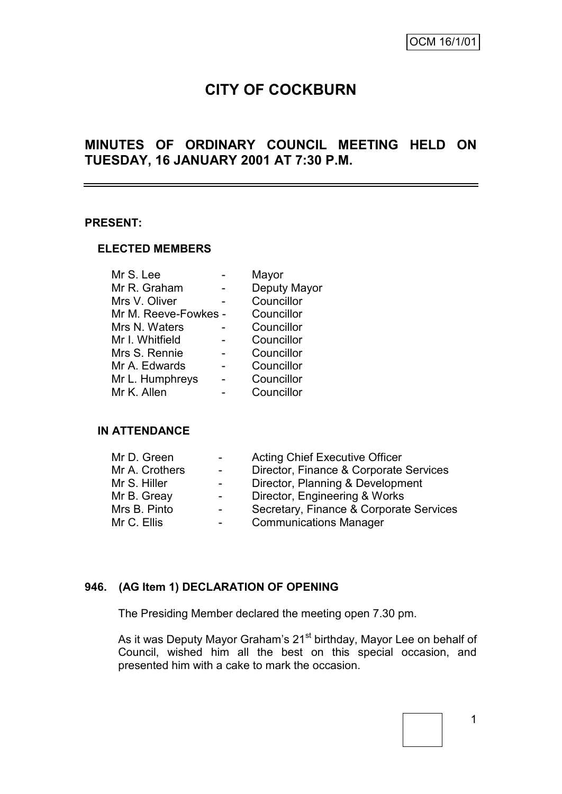# **CITY OF COCKBURN**

## **MINUTES OF ORDINARY COUNCIL MEETING HELD ON TUESDAY, 16 JANUARY 2001 AT 7:30 P.M.**

#### **PRESENT:**

#### **ELECTED MEMBERS**

| Mr S. Lee            | Mayor        |
|----------------------|--------------|
| Mr R. Graham         | Deputy Mayor |
| Mrs V. Oliver        | Councillor   |
| Mr M. Reeve-Fowkes - | Councillor   |
| Mrs N. Waters        | Councillor   |
| Mr I. Whitfield      | Councillor   |
| Mrs S. Rennie        | Councillor   |
| Mr A. Edwards        | Councillor   |
| Mr L. Humphreys      | Councillor   |
| Mr K. Allen          | Councillor   |
|                      |              |

#### **IN ATTENDANCE**

| Mr D. Green    | $\sim$                   | <b>Acting Chief Executive Officer</b>   |
|----------------|--------------------------|-----------------------------------------|
| Mr A. Crothers | $\sim$                   | Director, Finance & Corporate Services  |
| Mr S. Hiller   | $\overline{\phantom{0}}$ | Director, Planning & Development        |
| Mr B. Greay    | $\blacksquare$           | Director, Engineering & Works           |
| Mrs B. Pinto   | $\overline{\phantom{0}}$ | Secretary, Finance & Corporate Services |
| Mr C. Ellis    |                          | <b>Communications Manager</b>           |

## **946. (AG Item 1) DECLARATION OF OPENING**

The Presiding Member declared the meeting open 7.30 pm.

As it was Deputy Mayor Graham's 21<sup>st</sup> birthday, Mayor Lee on behalf of Council, wished him all the best on this special occasion, and presented him with a cake to mark the occasion.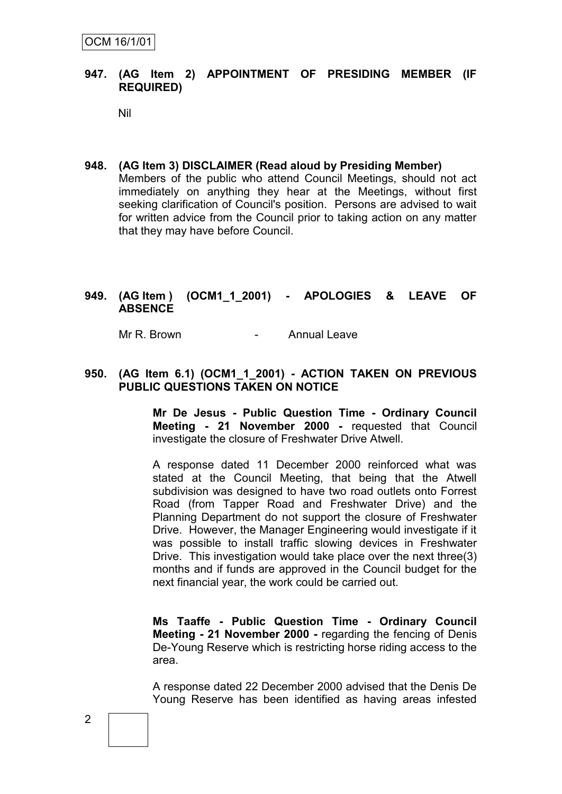#### **947. (AG Item 2) APPOINTMENT OF PRESIDING MEMBER (IF REQUIRED)**

Nil

#### **948. (AG Item 3) DISCLAIMER (Read aloud by Presiding Member)**

Members of the public who attend Council Meetings, should not act immediately on anything they hear at the Meetings, without first seeking clarification of Council's position. Persons are advised to wait for written advice from the Council prior to taking action on any matter that they may have before Council.

#### **949. (AG Item ) (OCM1\_1\_2001) - APOLOGIES & LEAVE OF ABSENCE**

Mr R. Brown **- Annual Leave** 

#### **950. (AG Item 6.1) (OCM1\_1\_2001) - ACTION TAKEN ON PREVIOUS PUBLIC QUESTIONS TAKEN ON NOTICE**

**Mr De Jesus - Public Question Time - Ordinary Council Meeting - 21 November 2000 -** requested that Council investigate the closure of Freshwater Drive Atwell.

A response dated 11 December 2000 reinforced what was stated at the Council Meeting, that being that the Atwell subdivision was designed to have two road outlets onto Forrest Road (from Tapper Road and Freshwater Drive) and the Planning Department do not support the closure of Freshwater Drive. However, the Manager Engineering would investigate if it was possible to install traffic slowing devices in Freshwater Drive. This investigation would take place over the next three(3) months and if funds are approved in the Council budget for the next financial year, the work could be carried out.

**Ms Taaffe - Public Question Time - Ordinary Council Meeting - 21 November 2000 -** regarding the fencing of Denis De-Young Reserve which is restricting horse riding access to the area.

A response dated 22 December 2000 advised that the Denis De Young Reserve has been identified as having areas infested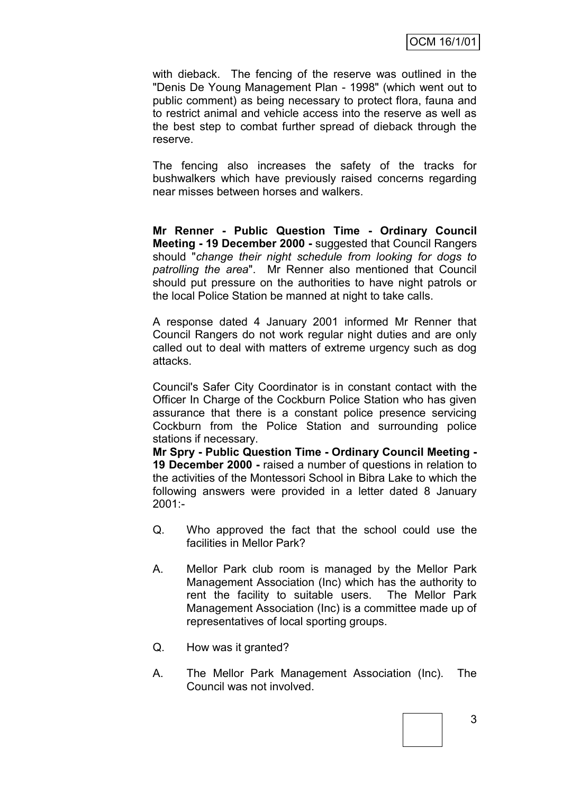with dieback. The fencing of the reserve was outlined in the "Denis De Young Management Plan - 1998" (which went out to public comment) as being necessary to protect flora, fauna and to restrict animal and vehicle access into the reserve as well as the best step to combat further spread of dieback through the reserve.

The fencing also increases the safety of the tracks for bushwalkers which have previously raised concerns regarding near misses between horses and walkers.

**Mr Renner - Public Question Time - Ordinary Council Meeting - 19 December 2000 -** suggested that Council Rangers should "*change their night schedule from looking for dogs to patrolling the area*". Mr Renner also mentioned that Council should put pressure on the authorities to have night patrols or the local Police Station be manned at night to take calls.

A response dated 4 January 2001 informed Mr Renner that Council Rangers do not work regular night duties and are only called out to deal with matters of extreme urgency such as dog attacks.

Council's Safer City Coordinator is in constant contact with the Officer In Charge of the Cockburn Police Station who has given assurance that there is a constant police presence servicing Cockburn from the Police Station and surrounding police stations if necessary.

**Mr Spry - Public Question Time - Ordinary Council Meeting - 19 December 2000 -** raised a number of questions in relation to the activities of the Montessori School in Bibra Lake to which the following answers were provided in a letter dated 8 January  $2001 -$ 

- Q. Who approved the fact that the school could use the facilities in Mellor Park?
- A. Mellor Park club room is managed by the Mellor Park Management Association (Inc) which has the authority to rent the facility to suitable users. The Mellor Park Management Association (Inc) is a committee made up of representatives of local sporting groups.
- Q. How was it granted?
- A. The Mellor Park Management Association (Inc). The Council was not involved.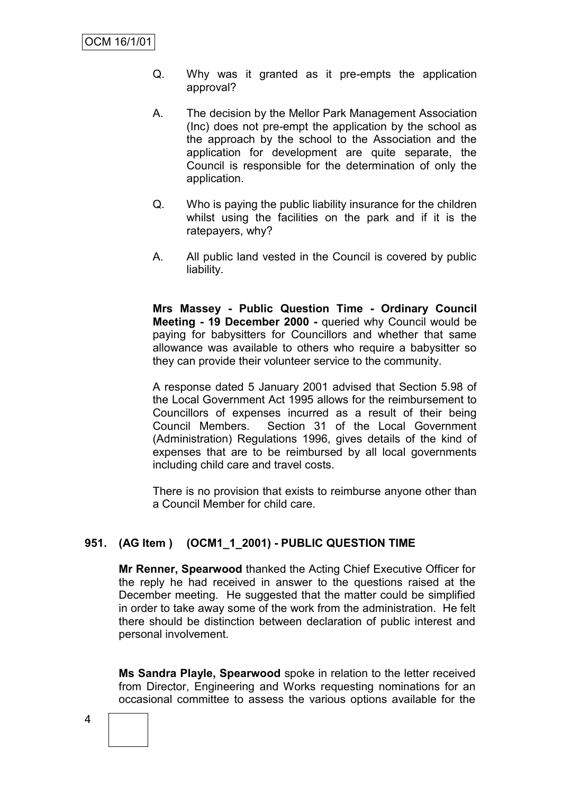- Q. Why was it granted as it pre-empts the application approval?
- A. The decision by the Mellor Park Management Association (Inc) does not pre-empt the application by the school as the approach by the school to the Association and the application for development are quite separate, the Council is responsible for the determination of only the application.
- Q. Who is paying the public liability insurance for the children whilst using the facilities on the park and if it is the ratepayers, why?
- A. All public land vested in the Council is covered by public liability.

**Mrs Massey - Public Question Time - Ordinary Council Meeting - 19 December 2000 -** queried why Council would be paying for babysitters for Councillors and whether that same allowance was available to others who require a babysitter so they can provide their volunteer service to the community.

A response dated 5 January 2001 advised that Section 5.98 of the Local Government Act 1995 allows for the reimbursement to Councillors of expenses incurred as a result of their being Council Members. Section 31 of the Local Government (Administration) Regulations 1996, gives details of the kind of expenses that are to be reimbursed by all local governments including child care and travel costs.

There is no provision that exists to reimburse anyone other than a Council Member for child care.

## **951. (AG Item ) (OCM1\_1\_2001) - PUBLIC QUESTION TIME**

**Mr Renner, Spearwood** thanked the Acting Chief Executive Officer for the reply he had received in answer to the questions raised at the December meeting. He suggested that the matter could be simplified in order to take away some of the work from the administration. He felt there should be distinction between declaration of public interest and personal involvement.

**Ms Sandra Playle, Spearwood** spoke in relation to the letter received from Director, Engineering and Works requesting nominations for an occasional committee to assess the various options available for the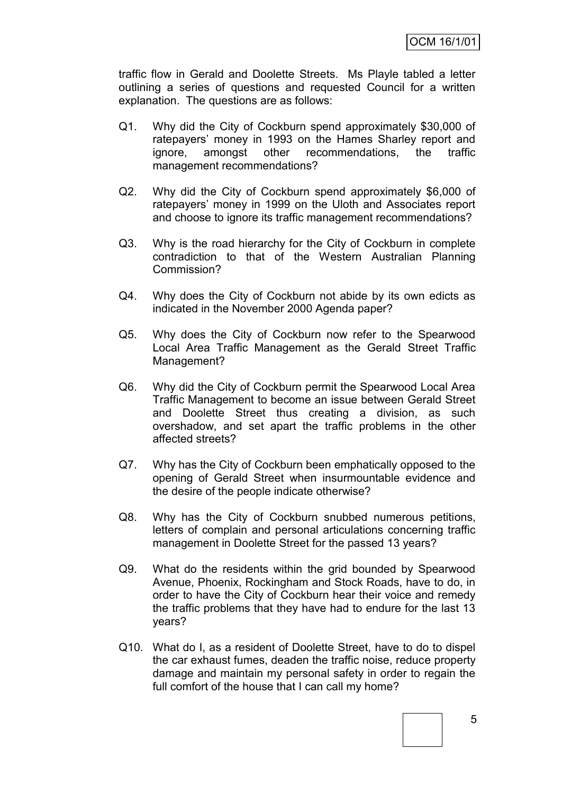traffic flow in Gerald and Doolette Streets. Ms Playle tabled a letter outlining a series of questions and requested Council for a written explanation. The questions are as follows:

- Q1. Why did the City of Cockburn spend approximately \$30,000 of ratepayers' money in 1993 on the Hames Sharley report and ignore, amongst other recommendations, the traffic management recommendations?
- Q2. Why did the City of Cockburn spend approximately \$6,000 of ratepayers' money in 1999 on the Uloth and Associates report and choose to ignore its traffic management recommendations?
- Q3. Why is the road hierarchy for the City of Cockburn in complete contradiction to that of the Western Australian Planning Commission?
- Q4. Why does the City of Cockburn not abide by its own edicts as indicated in the November 2000 Agenda paper?
- Q5. Why does the City of Cockburn now refer to the Spearwood Local Area Traffic Management as the Gerald Street Traffic Management?
- Q6. Why did the City of Cockburn permit the Spearwood Local Area Traffic Management to become an issue between Gerald Street and Doolette Street thus creating a division, as such overshadow, and set apart the traffic problems in the other affected streets?
- Q7. Why has the City of Cockburn been emphatically opposed to the opening of Gerald Street when insurmountable evidence and the desire of the people indicate otherwise?
- Q8. Why has the City of Cockburn snubbed numerous petitions, letters of complain and personal articulations concerning traffic management in Doolette Street for the passed 13 years?
- Q9. What do the residents within the grid bounded by Spearwood Avenue, Phoenix, Rockingham and Stock Roads, have to do, in order to have the City of Cockburn hear their voice and remedy the traffic problems that they have had to endure for the last 13 years?
- Q10. What do I, as a resident of Doolette Street, have to do to dispel the car exhaust fumes, deaden the traffic noise, reduce property damage and maintain my personal safety in order to regain the full comfort of the house that I can call my home?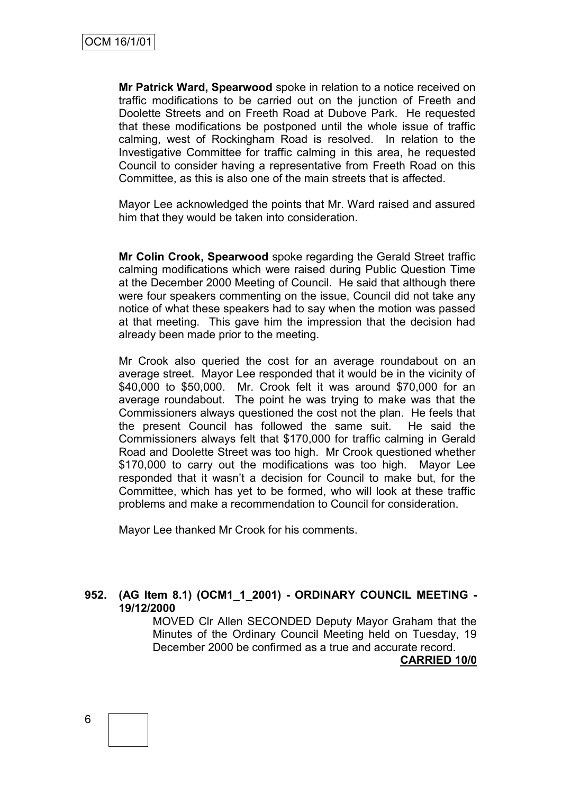**Mr Patrick Ward, Spearwood** spoke in relation to a notice received on traffic modifications to be carried out on the junction of Freeth and Doolette Streets and on Freeth Road at Dubove Park. He requested that these modifications be postponed until the whole issue of traffic calming, west of Rockingham Road is resolved. In relation to the Investigative Committee for traffic calming in this area, he requested Council to consider having a representative from Freeth Road on this Committee, as this is also one of the main streets that is affected.

Mayor Lee acknowledged the points that Mr. Ward raised and assured him that they would be taken into consideration.

**Mr Colin Crook, Spearwood** spoke regarding the Gerald Street traffic calming modifications which were raised during Public Question Time at the December 2000 Meeting of Council. He said that although there were four speakers commenting on the issue, Council did not take any notice of what these speakers had to say when the motion was passed at that meeting. This gave him the impression that the decision had already been made prior to the meeting.

Mr Crook also queried the cost for an average roundabout on an average street. Mayor Lee responded that it would be in the vicinity of \$40,000 to \$50,000. Mr. Crook felt it was around \$70,000 for an average roundabout. The point he was trying to make was that the Commissioners always questioned the cost not the plan. He feels that the present Council has followed the same suit. He said the Commissioners always felt that \$170,000 for traffic calming in Gerald Road and Doolette Street was too high. Mr Crook questioned whether \$170,000 to carry out the modifications was too high. Mayor Lee responded that it wasn't a decision for Council to make but, for the Committee, which has yet to be formed, who will look at these traffic problems and make a recommendation to Council for consideration.

Mayor Lee thanked Mr Crook for his comments.

#### **952. (AG Item 8.1) (OCM1\_1\_2001) - ORDINARY COUNCIL MEETING - 19/12/2000**

MOVED Clr Allen SECONDED Deputy Mayor Graham that the Minutes of the Ordinary Council Meeting held on Tuesday, 19 December 2000 be confirmed as a true and accurate record.

**CARRIED 10/0**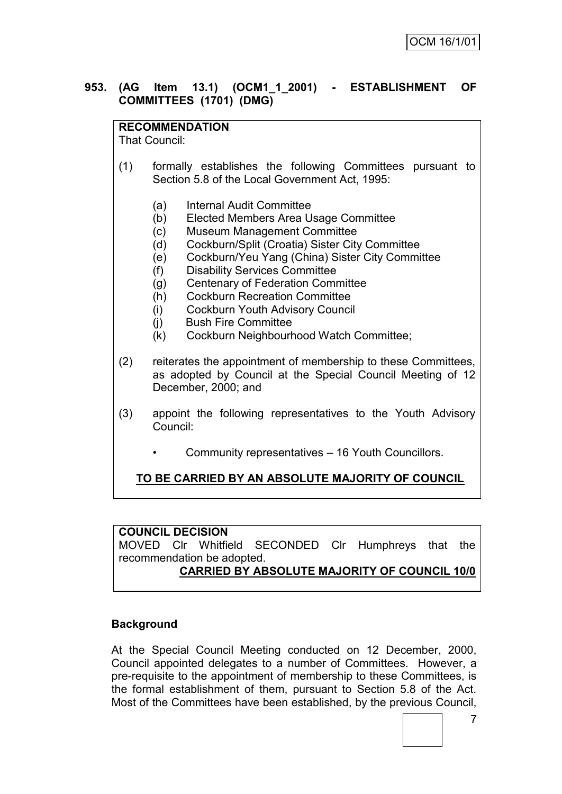#### **953. (AG Item 13.1) (OCM1\_1\_2001) - ESTABLISHMENT OF COMMITTEES (1701) (DMG)**

#### **RECOMMENDATION**

That Council:

- (1) formally establishes the following Committees pursuant to Section 5.8 of the Local Government Act, 1995:
	- (a) Internal Audit Committee
	- (b) Elected Members Area Usage Committee
	- (c) Museum Management Committee
	- (d) Cockburn/Split (Croatia) Sister City Committee
	- (e) Cockburn/Yeu Yang (China) Sister City Committee
	- (f) Disability Services Committee
	- (g) Centenary of Federation Committee
	- (h) Cockburn Recreation Committee
	- (i) Cockburn Youth Advisory Council
	- (j) Bush Fire Committee
	- (k) Cockburn Neighbourhood Watch Committee;
- (2) reiterates the appointment of membership to these Committees, as adopted by Council at the Special Council Meeting of 12 December, 2000; and
- (3) appoint the following representatives to the Youth Advisory Council:
	- Community representatives 16 Youth Councillors.

## **TO BE CARRIED BY AN ABSOLUTE MAJORITY OF COUNCIL**

## **COUNCIL DECISION**

MOVED Clr Whitfield SECONDED Clr Humphreys that the recommendation be adopted.

#### **CARRIED BY ABSOLUTE MAJORITY OF COUNCIL 10/0**

## **Background**

At the Special Council Meeting conducted on 12 December, 2000, Council appointed delegates to a number of Committees. However, a pre-requisite to the appointment of membership to these Committees, is the formal establishment of them, pursuant to Section 5.8 of the Act. Most of the Committees have been established, by the previous Council,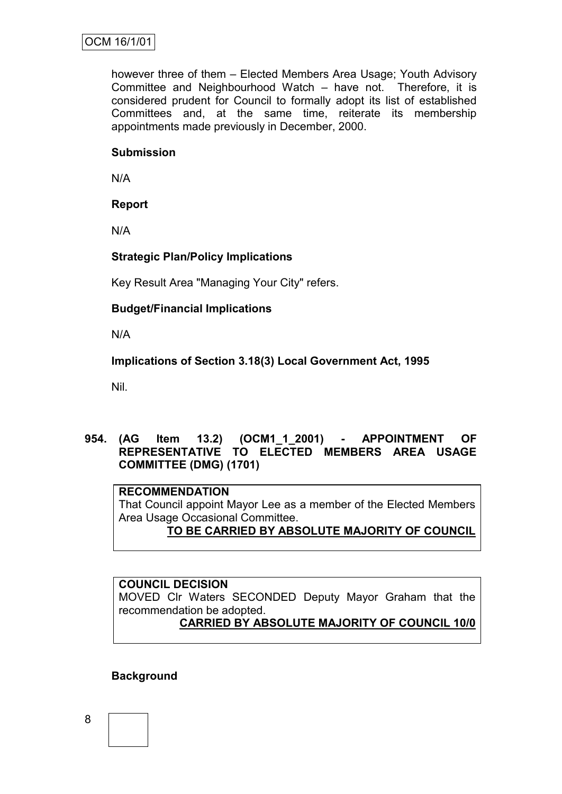however three of them – Elected Members Area Usage; Youth Advisory Committee and Neighbourhood Watch – have not. Therefore, it is considered prudent for Council to formally adopt its list of established Committees and, at the same time, reiterate its membership appointments made previously in December, 2000.

#### **Submission**

N/A

## **Report**

N/A

## **Strategic Plan/Policy Implications**

Key Result Area "Managing Your City" refers.

#### **Budget/Financial Implications**

N/A

**Implications of Section 3.18(3) Local Government Act, 1995**

Nil.

**954. (AG Item 13.2) (OCM1\_1\_2001) - APPOINTMENT OF REPRESENTATIVE TO ELECTED MEMBERS AREA USAGE COMMITTEE (DMG) (1701)**

#### **RECOMMENDATION**

That Council appoint Mayor Lee as a member of the Elected Members Area Usage Occasional Committee.

## **TO BE CARRIED BY ABSOLUTE MAJORITY OF COUNCIL**

**COUNCIL DECISION** MOVED Clr Waters SECONDED Deputy Mayor Graham that the recommendation be adopted. **CARRIED BY ABSOLUTE MAJORITY OF COUNCIL 10/0**

## **Background**

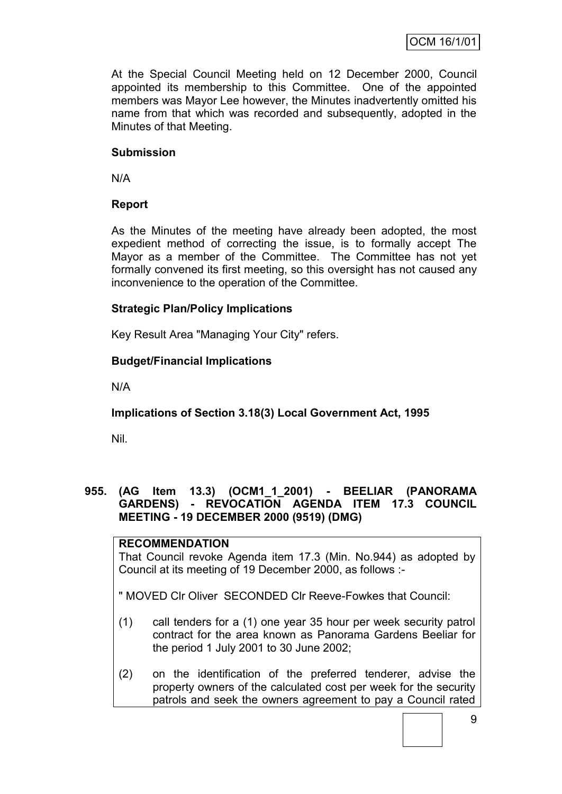At the Special Council Meeting held on 12 December 2000, Council appointed its membership to this Committee. One of the appointed members was Mayor Lee however, the Minutes inadvertently omitted his name from that which was recorded and subsequently, adopted in the Minutes of that Meeting.

#### **Submission**

N/A

#### **Report**

As the Minutes of the meeting have already been adopted, the most expedient method of correcting the issue, is to formally accept The Mayor as a member of the Committee. The Committee has not yet formally convened its first meeting, so this oversight has not caused any inconvenience to the operation of the Committee.

#### **Strategic Plan/Policy Implications**

Key Result Area "Managing Your City" refers.

#### **Budget/Financial Implications**

N/A

## **Implications of Section 3.18(3) Local Government Act, 1995**

Nil.

#### **955. (AG Item 13.3) (OCM1\_1\_2001) - BEELIAR (PANORAMA GARDENS) - REVOCATION AGENDA ITEM 17.3 COUNCIL MEETING - 19 DECEMBER 2000 (9519) (DMG)**

#### **RECOMMENDATION**

That Council revoke Agenda item 17.3 (Min. No.944) as adopted by Council at its meeting of 19 December 2000, as follows :-

" MOVED Clr Oliver SECONDED Clr Reeve-Fowkes that Council:

- (1) call tenders for a (1) one year 35 hour per week security patrol contract for the area known as Panorama Gardens Beeliar for the period 1 July 2001 to 30 June 2002;
- (2) on the identification of the preferred tenderer, advise the property owners of the calculated cost per week for the security patrols and seek the owners agreement to pay a Council rated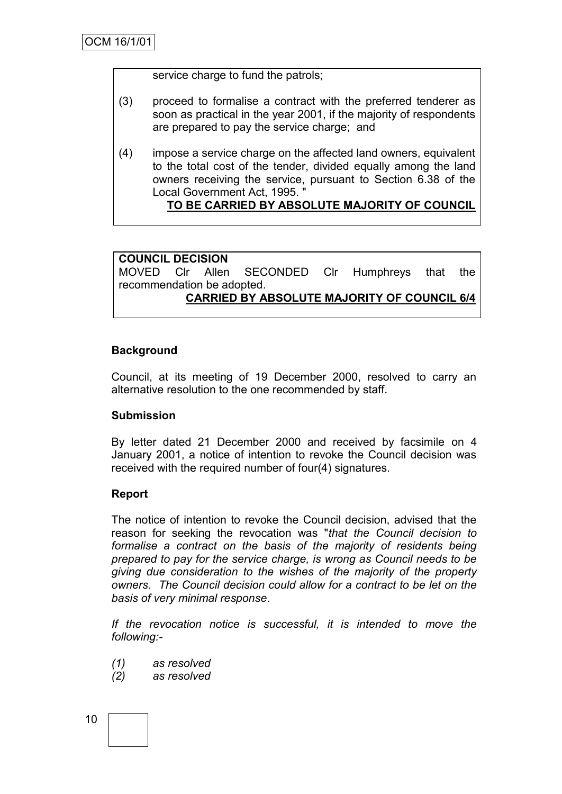service charge to fund the patrols;

- (3) proceed to formalise a contract with the preferred tenderer as soon as practical in the year 2001, if the majority of respondents are prepared to pay the service charge; and
- (4) impose a service charge on the affected land owners, equivalent to the total cost of the tender, divided equally among the land owners receiving the service, pursuant to Section 6.38 of the Local Government Act, 1995. "

## **TO BE CARRIED BY ABSOLUTE MAJORITY OF COUNCIL**

**COUNCIL DECISION** MOVED Clr Allen SECONDED Clr Humphreys that the recommendation be adopted. **CARRIED BY ABSOLUTE MAJORITY OF COUNCIL 6/4**

#### **Background**

Council, at its meeting of 19 December 2000, resolved to carry an alternative resolution to the one recommended by staff.

#### **Submission**

By letter dated 21 December 2000 and received by facsimile on 4 January 2001, a notice of intention to revoke the Council decision was received with the required number of four(4) signatures.

#### **Report**

The notice of intention to revoke the Council decision, advised that the reason for seeking the revocation was "*that the Council decision to formalise a contract on the basis of the majority of residents being prepared to pay for the service charge, is wrong as Council needs to be giving due consideration to the wishes of the majority of the property owners. The Council decision could allow for a contract to be let on the basis of very minimal response*.

*If the revocation notice is successful, it is intended to move the following:-*

- *(1) as resolved*
- *(2) as resolved*

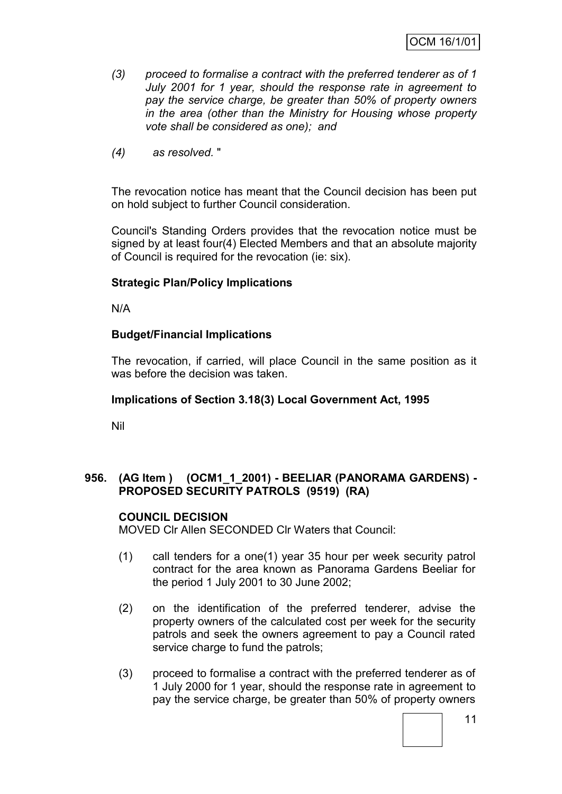- *(3) proceed to formalise a contract with the preferred tenderer as of 1 July 2001 for 1 year, should the response rate in agreement to pay the service charge, be greater than 50% of property owners in the area (other than the Ministry for Housing whose property vote shall be considered as one); and*
- *(4) as resolved.* "

The revocation notice has meant that the Council decision has been put on hold subject to further Council consideration.

Council's Standing Orders provides that the revocation notice must be signed by at least four(4) Elected Members and that an absolute majority of Council is required for the revocation (ie: six).

#### **Strategic Plan/Policy Implications**

N/A

#### **Budget/Financial Implications**

The revocation, if carried, will place Council in the same position as it was before the decision was taken.

#### **Implications of Section 3.18(3) Local Government Act, 1995**

Nil

#### **956. (AG Item ) (OCM1\_1\_2001) - BEELIAR (PANORAMA GARDENS) - PROPOSED SECURITY PATROLS (9519) (RA)**

#### **COUNCIL DECISION**

MOVED Clr Allen SECONDED Clr Waters that Council:

- (1) call tenders for a one(1) year 35 hour per week security patrol contract for the area known as Panorama Gardens Beeliar for the period 1 July 2001 to 30 June 2002;
- (2) on the identification of the preferred tenderer, advise the property owners of the calculated cost per week for the security patrols and seek the owners agreement to pay a Council rated service charge to fund the patrols;
- (3) proceed to formalise a contract with the preferred tenderer as of 1 July 2000 for 1 year, should the response rate in agreement to pay the service charge, be greater than 50% of property owners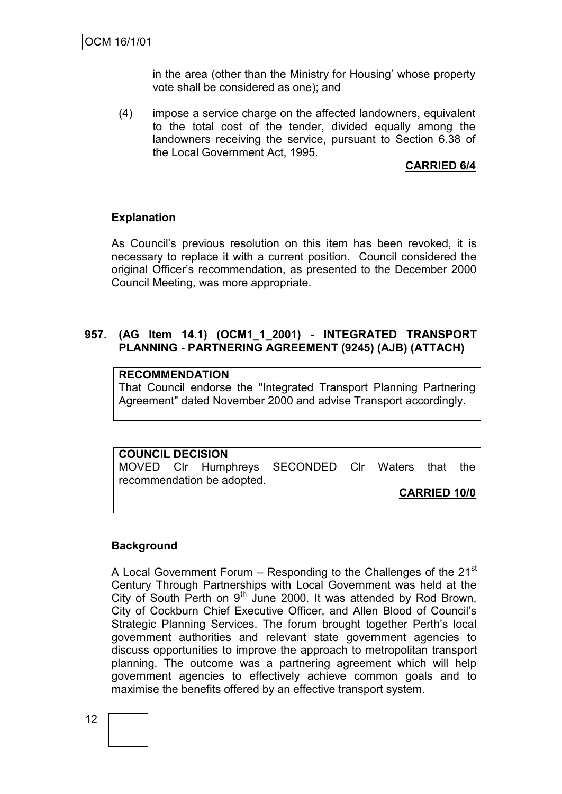in the area (other than the Ministry for Housing' whose property vote shall be considered as one); and

(4) impose a service charge on the affected landowners, equivalent to the total cost of the tender, divided equally among the landowners receiving the service, pursuant to Section 6.38 of the Local Government Act, 1995.

#### **CARRIED 6/4**

#### **Explanation**

As Council's previous resolution on this item has been revoked, it is necessary to replace it with a current position. Council considered the original Officer's recommendation, as presented to the December 2000 Council Meeting, was more appropriate.

#### **957. (AG Item 14.1) (OCM1\_1\_2001) - INTEGRATED TRANSPORT PLANNING - PARTNERING AGREEMENT (9245) (AJB) (ATTACH)**

#### **RECOMMENDATION**

That Council endorse the "Integrated Transport Planning Partnering Agreement" dated November 2000 and advise Transport accordingly.

## **COUNCIL DECISION**

MOVED Clr Humphreys SECONDED Clr Waters that the recommendation be adopted.

**CARRIED 10/0**

#### **Background**

A Local Government Forum  $-$  Responding to the Challenges of the 21 $\mathrm{^{st}}$ Century Through Partnerships with Local Government was held at the City of South Perth on  $9<sup>th</sup>$  June 2000. It was attended by Rod Brown, City of Cockburn Chief Executive Officer, and Allen Blood of Council's Strategic Planning Services. The forum brought together Perth's local government authorities and relevant state government agencies to discuss opportunities to improve the approach to metropolitan transport planning. The outcome was a partnering agreement which will help government agencies to effectively achieve common goals and to maximise the benefits offered by an effective transport system.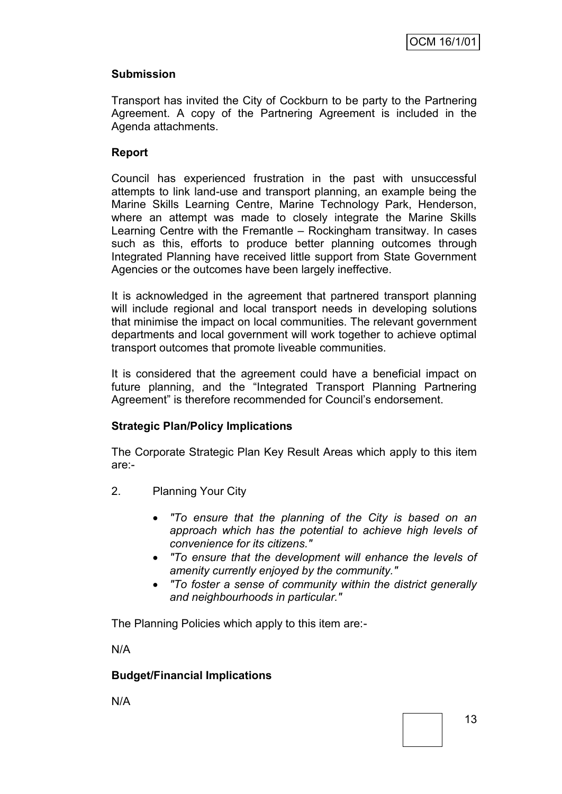#### **Submission**

Transport has invited the City of Cockburn to be party to the Partnering Agreement. A copy of the Partnering Agreement is included in the Agenda attachments.

#### **Report**

Council has experienced frustration in the past with unsuccessful attempts to link land-use and transport planning, an example being the Marine Skills Learning Centre, Marine Technology Park, Henderson, where an attempt was made to closely integrate the Marine Skills Learning Centre with the Fremantle – Rockingham transitway. In cases such as this, efforts to produce better planning outcomes through Integrated Planning have received little support from State Government Agencies or the outcomes have been largely ineffective.

It is acknowledged in the agreement that partnered transport planning will include regional and local transport needs in developing solutions that minimise the impact on local communities. The relevant government departments and local government will work together to achieve optimal transport outcomes that promote liveable communities.

It is considered that the agreement could have a beneficial impact on future planning, and the "Integrated Transport Planning Partnering Agreement" is therefore recommended for Council's endorsement.

## **Strategic Plan/Policy Implications**

The Corporate Strategic Plan Key Result Areas which apply to this item are:-

- 2. Planning Your City
	- *"To ensure that the planning of the City is based on an approach which has the potential to achieve high levels of convenience for its citizens."*
	- *"To ensure that the development will enhance the levels of amenity currently enjoyed by the community."*
	- *"To foster a sense of community within the district generally and neighbourhoods in particular."*

The Planning Policies which apply to this item are:-

N/A

#### **Budget/Financial Implications**

N/A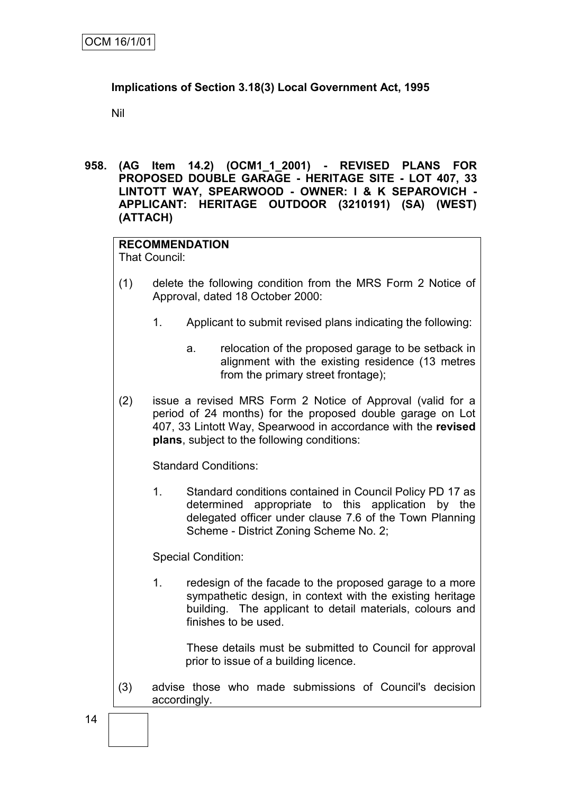## **Implications of Section 3.18(3) Local Government Act, 1995**

Nil

**958. (AG Item 14.2) (OCM1\_1\_2001) - REVISED PLANS FOR PROPOSED DOUBLE GARAGE - HERITAGE SITE - LOT 407, 33 LINTOTT WAY, SPEARWOOD - OWNER: I & K SEPAROVICH - APPLICANT: HERITAGE OUTDOOR (3210191) (SA) (WEST) (ATTACH)**

## **RECOMMENDATION**

That Council:

- (1) delete the following condition from the MRS Form 2 Notice of Approval, dated 18 October 2000:
	- 1. Applicant to submit revised plans indicating the following:
		- a. relocation of the proposed garage to be setback in alignment with the existing residence (13 metres from the primary street frontage);
- (2) issue a revised MRS Form 2 Notice of Approval (valid for a period of 24 months) for the proposed double garage on Lot 407, 33 Lintott Way, Spearwood in accordance with the **revised plans**, subject to the following conditions:

Standard Conditions:

1. Standard conditions contained in Council Policy PD 17 as determined appropriate to this application by the delegated officer under clause 7.6 of the Town Planning Scheme - District Zoning Scheme No. 2;

Special Condition:

1. redesign of the facade to the proposed garage to a more sympathetic design, in context with the existing heritage building. The applicant to detail materials, colours and finishes to be used.

These details must be submitted to Council for approval prior to issue of a building licence.

(3) advise those who made submissions of Council's decision accordingly.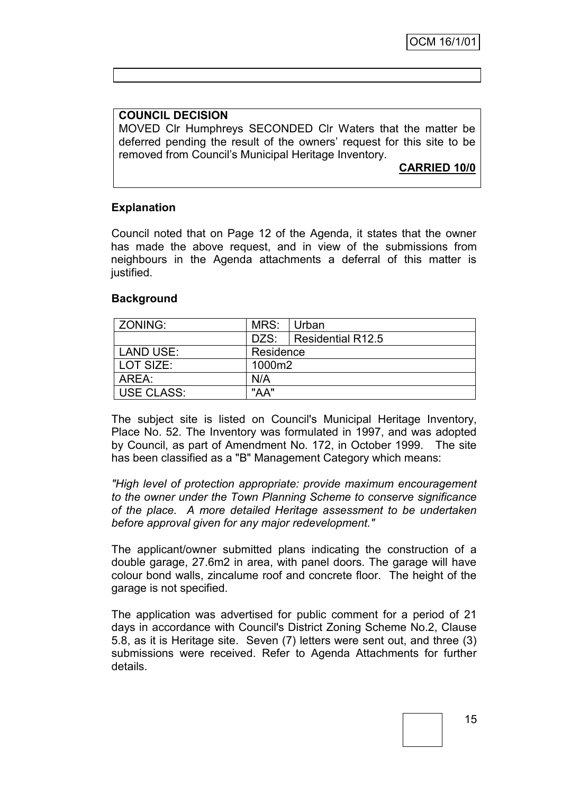#### **COUNCIL DECISION**

MOVED Clr Humphreys SECONDED Clr Waters that the matter be deferred pending the result of the owners' request for this site to be removed from Council's Municipal Heritage Inventory.

**CARRIED 10/0**

#### **Explanation**

Council noted that on Page 12 of the Agenda, it states that the owner has made the above request, and in view of the submissions from neighbours in the Agenda attachments a deferral of this matter is justified.

#### **Background**

| ZONING:           | MRS:      | ∣Urban                 |
|-------------------|-----------|------------------------|
|                   |           | DZS: Residential R12.5 |
| LAND USE:         | Residence |                        |
| LOT SIZE:         | 1000m2    |                        |
| AREA:             | N/A       |                        |
| <b>USE CLASS:</b> | "AA"      |                        |

The subject site is listed on Council's Municipal Heritage Inventory, Place No. 52. The Inventory was formulated in 1997, and was adopted by Council, as part of Amendment No. 172, in October 1999. The site has been classified as a "B" Management Category which means:

*"High level of protection appropriate: provide maximum encouragement to the owner under the Town Planning Scheme to conserve significance of the place. A more detailed Heritage assessment to be undertaken before approval given for any major redevelopment."*

The applicant/owner submitted plans indicating the construction of a double garage, 27.6m2 in area, with panel doors. The garage will have colour bond walls, zincalume roof and concrete floor. The height of the garage is not specified.

The application was advertised for public comment for a period of 21 days in accordance with Council's District Zoning Scheme No.2, Clause 5.8, as it is Heritage site. Seven (7) letters were sent out, and three (3) submissions were received. Refer to Agenda Attachments for further details.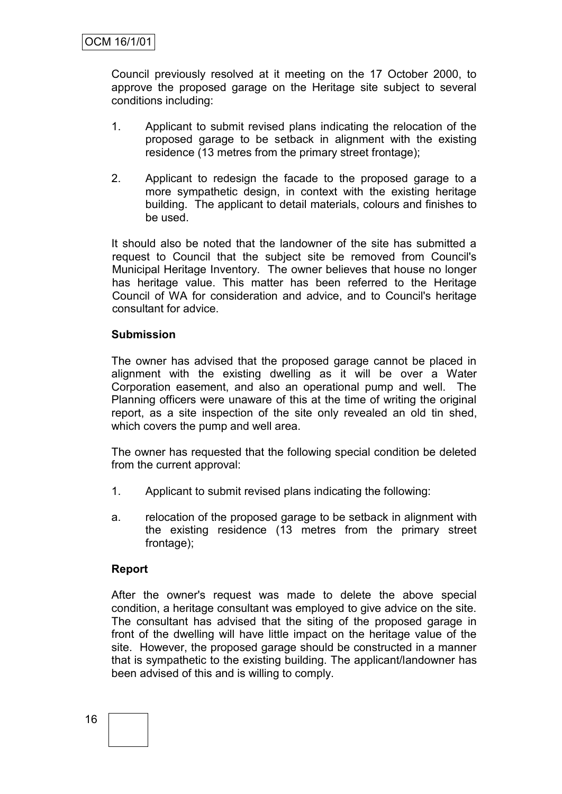Council previously resolved at it meeting on the 17 October 2000, to approve the proposed garage on the Heritage site subject to several conditions including:

- 1. Applicant to submit revised plans indicating the relocation of the proposed garage to be setback in alignment with the existing residence (13 metres from the primary street frontage);
- 2. Applicant to redesign the facade to the proposed garage to a more sympathetic design, in context with the existing heritage building. The applicant to detail materials, colours and finishes to be used.

It should also be noted that the landowner of the site has submitted a request to Council that the subject site be removed from Council's Municipal Heritage Inventory. The owner believes that house no longer has heritage value. This matter has been referred to the Heritage Council of WA for consideration and advice, and to Council's heritage consultant for advice.

#### **Submission**

The owner has advised that the proposed garage cannot be placed in alignment with the existing dwelling as it will be over a Water Corporation easement, and also an operational pump and well. The Planning officers were unaware of this at the time of writing the original report, as a site inspection of the site only revealed an old tin shed, which covers the pump and well area.

The owner has requested that the following special condition be deleted from the current approval:

- 1. Applicant to submit revised plans indicating the following:
- a. relocation of the proposed garage to be setback in alignment with the existing residence (13 metres from the primary street frontage);

#### **Report**

After the owner's request was made to delete the above special condition, a heritage consultant was employed to give advice on the site. The consultant has advised that the siting of the proposed garage in front of the dwelling will have little impact on the heritage value of the site. However, the proposed garage should be constructed in a manner that is sympathetic to the existing building. The applicant/landowner has been advised of this and is willing to comply.

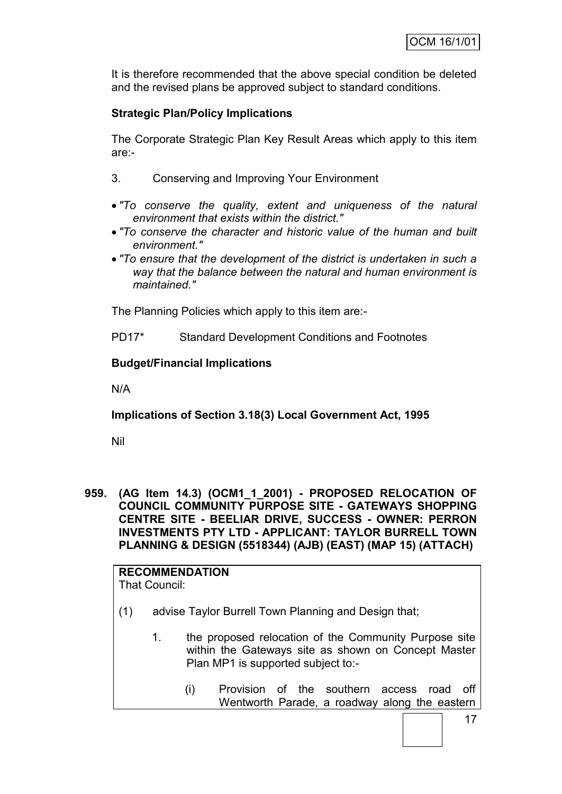It is therefore recommended that the above special condition be deleted and the revised plans be approved subject to standard conditions.

## **Strategic Plan/Policy Implications**

The Corporate Strategic Plan Key Result Areas which apply to this item are:-

- 3. Conserving and Improving Your Environment
- *"To conserve the quality, extent and uniqueness of the natural environment that exists within the district."*
- *"To conserve the character and historic value of the human and built environment."*
- *"To ensure that the development of the district is undertaken in such a way that the balance between the natural and human environment is maintained."*

The Planning Policies which apply to this item are:-

PD17\* Standard Development Conditions and Footnotes

#### **Budget/Financial Implications**

N/A

**Implications of Section 3.18(3) Local Government Act, 1995**

Nil

**959. (AG Item 14.3) (OCM1\_1\_2001) - PROPOSED RELOCATION OF COUNCIL COMMUNITY PURPOSE SITE - GATEWAYS SHOPPING CENTRE SITE - BEELIAR DRIVE, SUCCESS - OWNER: PERRON INVESTMENTS PTY LTD - APPLICANT: TAYLOR BURRELL TOWN PLANNING & DESIGN (5518344) (AJB) (EAST) (MAP 15) (ATTACH)**

#### **RECOMMENDATION** That Council:

- (1) advise Taylor Burrell Town Planning and Design that;
	- 1. the proposed relocation of the Community Purpose site within the Gateways site as shown on Concept Master Plan MP1 is supported subject to:-
		- (i) Provision of the southern access road off Wentworth Parade, a roadway along the eastern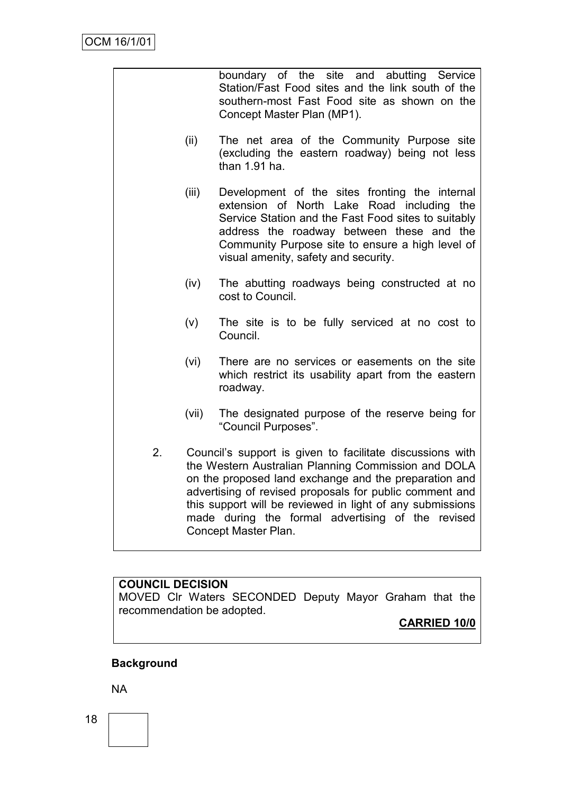|    |       | boundary of the site and abutting Service<br>Station/Fast Food sites and the link south of the<br>southern-most Fast Food site as shown on the<br>Concept Master Plan (MP1).                                                                                                                                                                                                   |
|----|-------|--------------------------------------------------------------------------------------------------------------------------------------------------------------------------------------------------------------------------------------------------------------------------------------------------------------------------------------------------------------------------------|
|    | (ii)  | The net area of the Community Purpose site<br>(excluding the eastern roadway) being not less<br>than 1.91 ha.                                                                                                                                                                                                                                                                  |
|    | (iii) | Development of the sites fronting the internal<br>extension of North Lake Road including<br>the<br>Service Station and the Fast Food sites to suitably<br>address the roadway between these and the<br>Community Purpose site to ensure a high level of<br>visual amenity, safety and security.                                                                                |
|    | (iv)  | The abutting roadways being constructed at no<br>cost to Council.                                                                                                                                                                                                                                                                                                              |
|    | (v)   | The site is to be fully serviced at no cost to<br>Council.                                                                                                                                                                                                                                                                                                                     |
|    | (vi)  | There are no services or easements on the site<br>which restrict its usability apart from the eastern<br>roadway.                                                                                                                                                                                                                                                              |
|    | (vii) | The designated purpose of the reserve being for<br>"Council Purposes".                                                                                                                                                                                                                                                                                                         |
| 2. |       | Council's support is given to facilitate discussions with<br>the Western Australian Planning Commission and DOLA<br>on the proposed land exchange and the preparation and<br>advertising of revised proposals for public comment and<br>this support will be reviewed in light of any submissions<br>made during the formal advertising of the revised<br>Concept Master Plan. |

**COUNCIL DECISION** MOVED Clr Waters SECONDED Deputy Mayor Graham that the recommendation be adopted. **CARRIED 10/0**

# **Background**

NA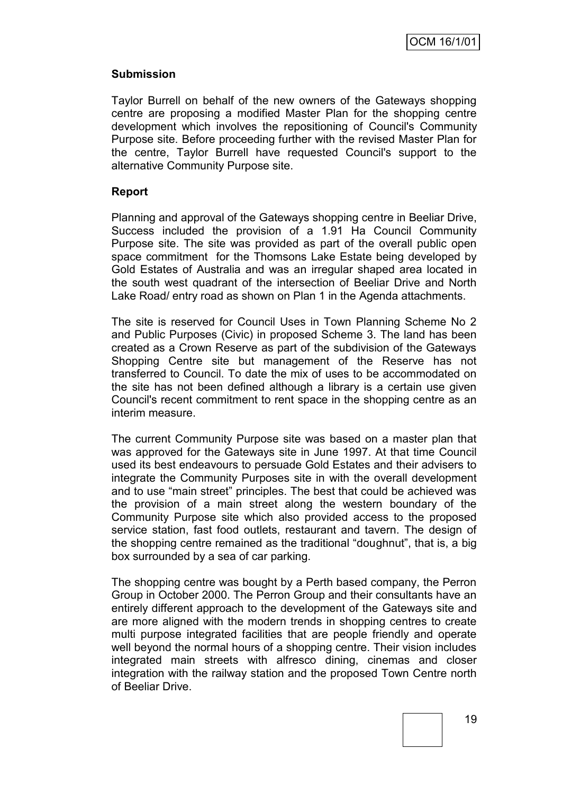#### **Submission**

Taylor Burrell on behalf of the new owners of the Gateways shopping centre are proposing a modified Master Plan for the shopping centre development which involves the repositioning of Council's Community Purpose site. Before proceeding further with the revised Master Plan for the centre, Taylor Burrell have requested Council's support to the alternative Community Purpose site.

#### **Report**

Planning and approval of the Gateways shopping centre in Beeliar Drive, Success included the provision of a 1.91 Ha Council Community Purpose site. The site was provided as part of the overall public open space commitment for the Thomsons Lake Estate being developed by Gold Estates of Australia and was an irregular shaped area located in the south west quadrant of the intersection of Beeliar Drive and North Lake Road/ entry road as shown on Plan 1 in the Agenda attachments.

The site is reserved for Council Uses in Town Planning Scheme No 2 and Public Purposes (Civic) in proposed Scheme 3. The land has been created as a Crown Reserve as part of the subdivision of the Gateways Shopping Centre site but management of the Reserve has not transferred to Council. To date the mix of uses to be accommodated on the site has not been defined although a library is a certain use given Council's recent commitment to rent space in the shopping centre as an interim measure.

The current Community Purpose site was based on a master plan that was approved for the Gateways site in June 1997. At that time Council used its best endeavours to persuade Gold Estates and their advisers to integrate the Community Purposes site in with the overall development and to use "main street" principles. The best that could be achieved was the provision of a main street along the western boundary of the Community Purpose site which also provided access to the proposed service station, fast food outlets, restaurant and tavern. The design of the shopping centre remained as the traditional "doughnut", that is, a big box surrounded by a sea of car parking.

The shopping centre was bought by a Perth based company, the Perron Group in October 2000. The Perron Group and their consultants have an entirely different approach to the development of the Gateways site and are more aligned with the modern trends in shopping centres to create multi purpose integrated facilities that are people friendly and operate well beyond the normal hours of a shopping centre. Their vision includes integrated main streets with alfresco dining, cinemas and closer integration with the railway station and the proposed Town Centre north of Beeliar Drive.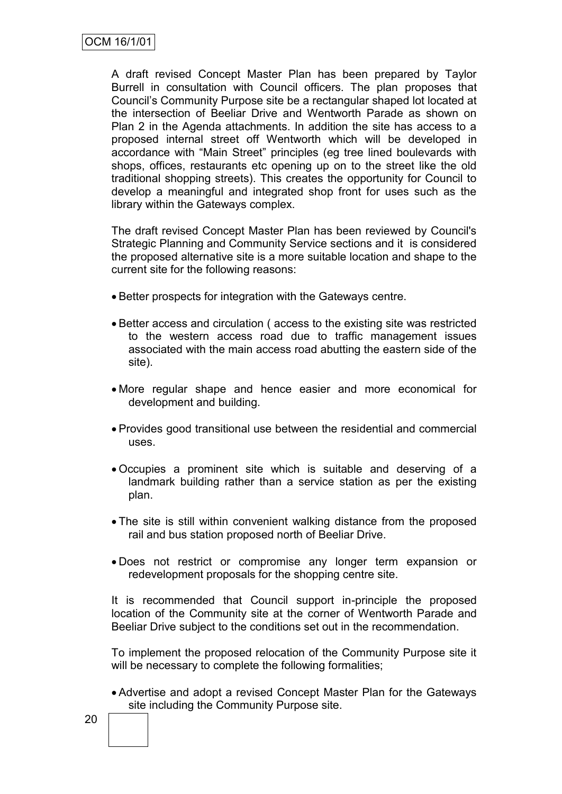A draft revised Concept Master Plan has been prepared by Taylor Burrell in consultation with Council officers. The plan proposes that Council's Community Purpose site be a rectangular shaped lot located at the intersection of Beeliar Drive and Wentworth Parade as shown on Plan 2 in the Agenda attachments. In addition the site has access to a proposed internal street off Wentworth which will be developed in accordance with "Main Street" principles (eg tree lined boulevards with shops, offices, restaurants etc opening up on to the street like the old traditional shopping streets). This creates the opportunity for Council to develop a meaningful and integrated shop front for uses such as the library within the Gateways complex.

The draft revised Concept Master Plan has been reviewed by Council's Strategic Planning and Community Service sections and it is considered the proposed alternative site is a more suitable location and shape to the current site for the following reasons:

- Better prospects for integration with the Gateways centre.
- Better access and circulation ( access to the existing site was restricted to the western access road due to traffic management issues associated with the main access road abutting the eastern side of the site).
- More regular shape and hence easier and more economical for development and building.
- Provides good transitional use between the residential and commercial uses.
- Occupies a prominent site which is suitable and deserving of a landmark building rather than a service station as per the existing plan.
- The site is still within convenient walking distance from the proposed rail and bus station proposed north of Beeliar Drive.
- Does not restrict or compromise any longer term expansion or redevelopment proposals for the shopping centre site.

It is recommended that Council support in-principle the proposed location of the Community site at the corner of Wentworth Parade and Beeliar Drive subject to the conditions set out in the recommendation.

To implement the proposed relocation of the Community Purpose site it will be necessary to complete the following formalities;

 Advertise and adopt a revised Concept Master Plan for the Gateways site including the Community Purpose site.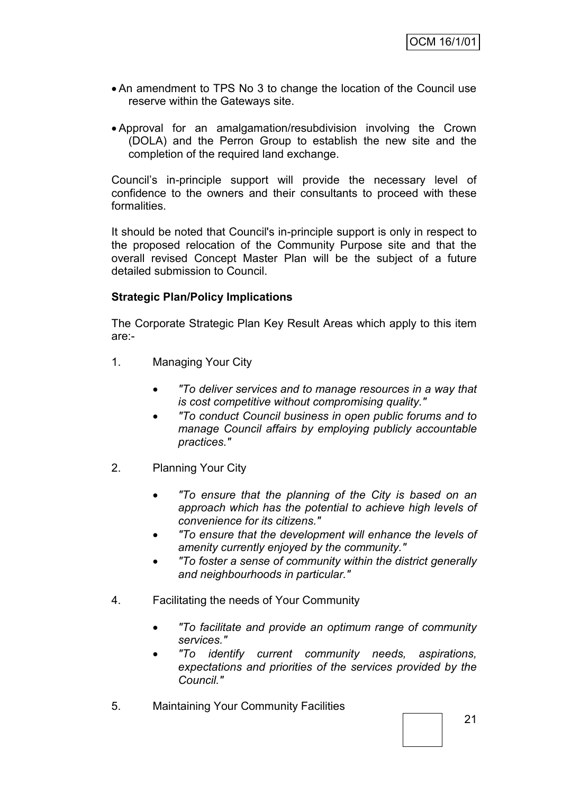- An amendment to TPS No 3 to change the location of the Council use reserve within the Gateways site.
- Approval for an amalgamation/resubdivision involving the Crown (DOLA) and the Perron Group to establish the new site and the completion of the required land exchange.

Council's in-principle support will provide the necessary level of confidence to the owners and their consultants to proceed with these formalities.

It should be noted that Council's in-principle support is only in respect to the proposed relocation of the Community Purpose site and that the overall revised Concept Master Plan will be the subject of a future detailed submission to Council.

#### **Strategic Plan/Policy Implications**

The Corporate Strategic Plan Key Result Areas which apply to this item are:-

- 1. Managing Your City
	- *"To deliver services and to manage resources in a way that is cost competitive without compromising quality."*
	- *"To conduct Council business in open public forums and to manage Council affairs by employing publicly accountable practices."*
- 2. Planning Your City
	- *"To ensure that the planning of the City is based on an approach which has the potential to achieve high levels of convenience for its citizens."*
	- *"To ensure that the development will enhance the levels of amenity currently enjoyed by the community."*
	- *"To foster a sense of community within the district generally and neighbourhoods in particular."*
- 4. Facilitating the needs of Your Community
	- *"To facilitate and provide an optimum range of community services."*
	- *"To identify current community needs, aspirations, expectations and priorities of the services provided by the Council."*
- 5. Maintaining Your Community Facilities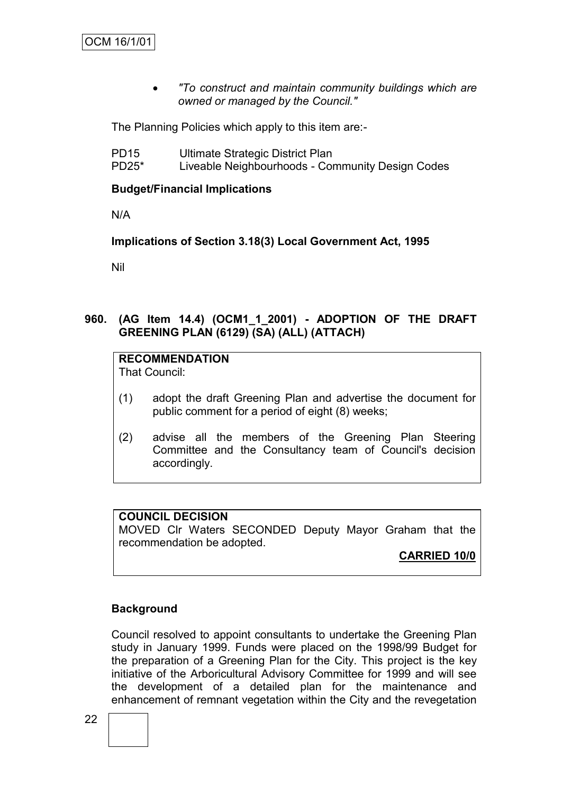*"To construct and maintain community buildings which are owned or managed by the Council."*

The Planning Policies which apply to this item are:-

- PD15 Ultimate Strategic District Plan
- PD25\* Liveable Neighbourhoods Community Design Codes

#### **Budget/Financial Implications**

N/A

**Implications of Section 3.18(3) Local Government Act, 1995**

Nil

#### **960. (AG Item 14.4) (OCM1\_1\_2001) - ADOPTION OF THE DRAFT GREENING PLAN (6129) (SA) (ALL) (ATTACH)**

# **RECOMMENDATION**

That Council:

- (1) adopt the draft Greening Plan and advertise the document for public comment for a period of eight (8) weeks;
- (2) advise all the members of the Greening Plan Steering Committee and the Consultancy team of Council's decision accordingly.

#### **COUNCIL DECISION**

MOVED Clr Waters SECONDED Deputy Mayor Graham that the recommendation be adopted.

**CARRIED 10/0**

## **Background**

Council resolved to appoint consultants to undertake the Greening Plan study in January 1999. Funds were placed on the 1998/99 Budget for the preparation of a Greening Plan for the City. This project is the key initiative of the Arboricultural Advisory Committee for 1999 and will see the development of a detailed plan for the maintenance and enhancement of remnant vegetation within the City and the revegetation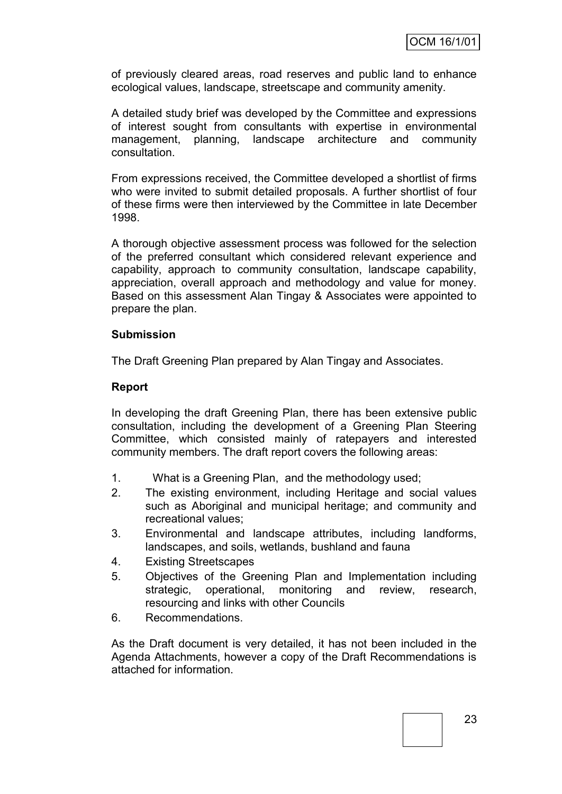of previously cleared areas, road reserves and public land to enhance ecological values, landscape, streetscape and community amenity.

A detailed study brief was developed by the Committee and expressions of interest sought from consultants with expertise in environmental management, planning, landscape architecture and community consultation.

From expressions received, the Committee developed a shortlist of firms who were invited to submit detailed proposals. A further shortlist of four of these firms were then interviewed by the Committee in late December 1998.

A thorough objective assessment process was followed for the selection of the preferred consultant which considered relevant experience and capability, approach to community consultation, landscape capability, appreciation, overall approach and methodology and value for money. Based on this assessment Alan Tingay & Associates were appointed to prepare the plan.

#### **Submission**

The Draft Greening Plan prepared by Alan Tingay and Associates.

#### **Report**

In developing the draft Greening Plan, there has been extensive public consultation, including the development of a Greening Plan Steering Committee, which consisted mainly of ratepayers and interested community members. The draft report covers the following areas:

- 1. What is a Greening Plan, and the methodology used;
- 2. The existing environment, including Heritage and social values such as Aboriginal and municipal heritage; and community and recreational values;
- 3. Environmental and landscape attributes, including landforms, landscapes, and soils, wetlands, bushland and fauna
- 4. Existing Streetscapes
- 5. Objectives of the Greening Plan and Implementation including strategic, operational, monitoring and review, research, resourcing and links with other Councils
- 6. Recommendations.

As the Draft document is very detailed, it has not been included in the Agenda Attachments, however a copy of the Draft Recommendations is attached for information.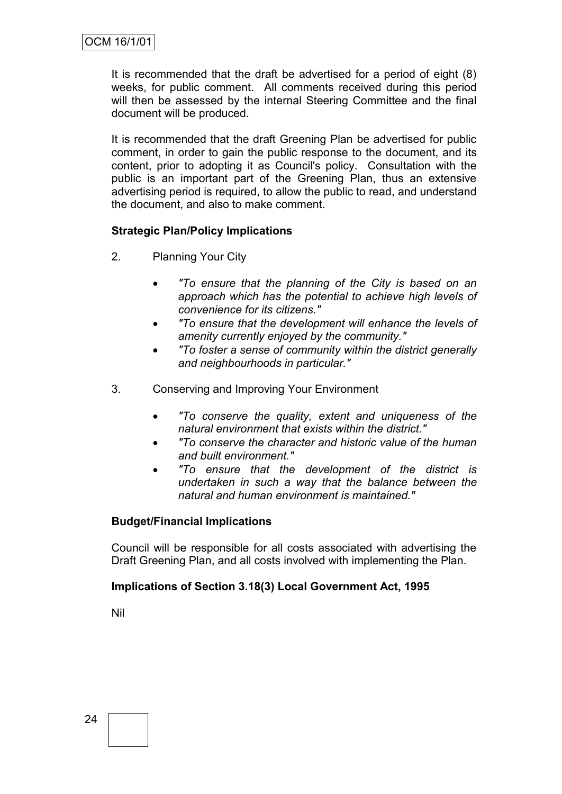It is recommended that the draft be advertised for a period of eight (8) weeks, for public comment. All comments received during this period will then be assessed by the internal Steering Committee and the final document will be produced.

It is recommended that the draft Greening Plan be advertised for public comment, in order to gain the public response to the document, and its content, prior to adopting it as Council's policy. Consultation with the public is an important part of the Greening Plan, thus an extensive advertising period is required, to allow the public to read, and understand the document, and also to make comment.

#### **Strategic Plan/Policy Implications**

- 2. Planning Your City
	- *"To ensure that the planning of the City is based on an approach which has the potential to achieve high levels of convenience for its citizens."*
	- *"To ensure that the development will enhance the levels of amenity currently enjoyed by the community."*
	- *"To foster a sense of community within the district generally and neighbourhoods in particular."*
- 3. Conserving and Improving Your Environment
	- *"To conserve the quality, extent and uniqueness of the natural environment that exists within the district."*
	- *"To conserve the character and historic value of the human and built environment."*
	- *"To ensure that the development of the district is undertaken in such a way that the balance between the natural and human environment is maintained."*

#### **Budget/Financial Implications**

Council will be responsible for all costs associated with advertising the Draft Greening Plan, and all costs involved with implementing the Plan.

#### **Implications of Section 3.18(3) Local Government Act, 1995**

Nil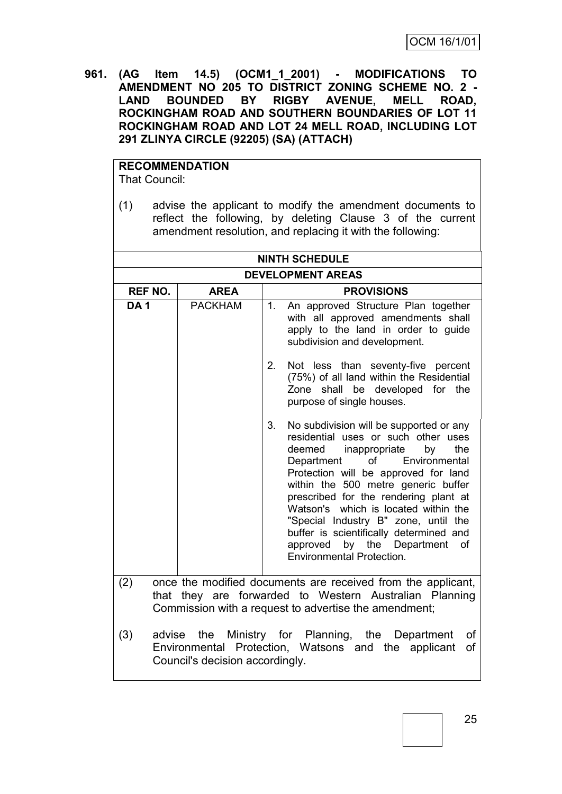**961. (AG Item 14.5) (OCM1\_1\_2001) - MODIFICATIONS TO AMENDMENT NO 205 TO DISTRICT ZONING SCHEME NO. 2 - LAND BOUNDED BY RIGBY AVENUE, MELL ROAD, ROCKINGHAM ROAD AND SOUTHERN BOUNDARIES OF LOT 11 ROCKINGHAM ROAD AND LOT 24 MELL ROAD, INCLUDING LOT 291 ZLINYA CIRCLE (92205) (SA) (ATTACH)**

#### **RECOMMENDATION** That Council:

(1) advise the applicant to modify the amendment documents to reflect the following, by deleting Clause 3 of the current amendment resolution, and replacing it with the following:

|                 |                                 | <b>NINTH SCHEDULE</b>                                                                                                                                                                                                                                                                                                                                                                                                                                                                               |
|-----------------|---------------------------------|-----------------------------------------------------------------------------------------------------------------------------------------------------------------------------------------------------------------------------------------------------------------------------------------------------------------------------------------------------------------------------------------------------------------------------------------------------------------------------------------------------|
|                 |                                 | <b>DEVELOPMENT AREAS</b>                                                                                                                                                                                                                                                                                                                                                                                                                                                                            |
| <b>REF NO.</b>  | <b>AREA</b>                     | <b>PROVISIONS</b>                                                                                                                                                                                                                                                                                                                                                                                                                                                                                   |
| DA <sub>1</sub> | <b>PACKHAM</b>                  | An approved Structure Plan together<br>1.<br>with all approved amendments shall<br>apply to the land in order to guide<br>subdivision and development.                                                                                                                                                                                                                                                                                                                                              |
|                 |                                 | 2.<br>Not less than seventy-five percent<br>(75%) of all land within the Residential<br>Zone shall be developed for the<br>purpose of single houses.                                                                                                                                                                                                                                                                                                                                                |
|                 |                                 | 3.<br>No subdivision will be supported or any<br>residential uses or such other uses<br>deemed<br>inappropriate<br>by<br>the<br>Department<br>οf<br>Environmental<br>Protection will be approved for land<br>within the 500 metre generic buffer<br>prescribed for the rendering plant at<br>Watson's which is located within the<br>"Special Industry B" zone, until the<br>buffer is scientifically determined and<br>approved by the Department<br><b>of</b><br><b>Environmental Protection.</b> |
| (2)             |                                 | once the modified documents are received from the applicant,<br>that they are forwarded to Western Australian Planning<br>Commission with a request to advertise the amendment;                                                                                                                                                                                                                                                                                                                     |
| (3)             | Council's decision accordingly. | advise the Ministry for Planning, the Department<br>οf<br>Environmental Protection, Watsons and the applicant<br>0f                                                                                                                                                                                                                                                                                                                                                                                 |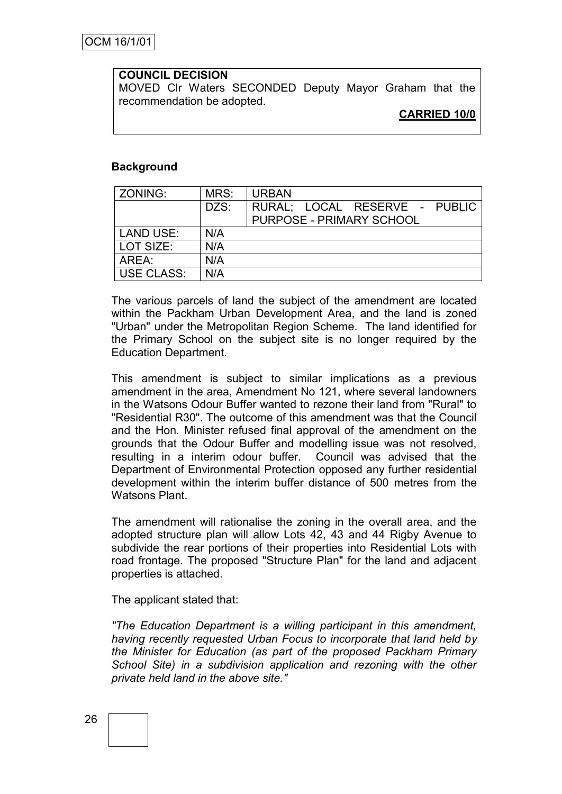#### **COUNCIL DECISION**

MOVED Clr Waters SECONDED Deputy Mayor Graham that the recommendation be adopted.

**CARRIED 10/0**

#### **Background**

| ZONING:           | MRS: | <b>URBAN</b>                    |
|-------------------|------|---------------------------------|
|                   | DZS: | RURAL; LOCAL RESERVE - PUBLIC   |
|                   |      | <b>PURPOSE - PRIMARY SCHOOL</b> |
| <b>LAND USE:</b>  | N/A  |                                 |
| LOT SIZE:         | N/A  |                                 |
| AREA:             | N/A  |                                 |
| <b>USE CLASS:</b> | N/A  |                                 |

The various parcels of land the subject of the amendment are located within the Packham Urban Development Area, and the land is zoned "Urban" under the Metropolitan Region Scheme. The land identified for the Primary School on the subject site is no longer required by the Education Department.

This amendment is subject to similar implications as a previous amendment in the area, Amendment No 121, where several landowners in the Watsons Odour Buffer wanted to rezone their land from "Rural" to "Residential R30". The outcome of this amendment was that the Council and the Hon. Minister refused final approval of the amendment on the grounds that the Odour Buffer and modelling issue was not resolved, resulting in a interim odour buffer. Council was advised that the Department of Environmental Protection opposed any further residential development within the interim buffer distance of 500 metres from the Watsons Plant.

The amendment will rationalise the zoning in the overall area, and the adopted structure plan will allow Lots 42, 43 and 44 Rigby Avenue to subdivide the rear portions of their properties into Residential Lots with road frontage. The proposed "Structure Plan" for the land and adjacent properties is attached.

The applicant stated that:

*"The Education Department is a willing participant in this amendment, having recently requested Urban Focus to incorporate that land held by the Minister for Education (as part of the proposed Packham Primary School Site) in a subdivision application and rezoning with the other private held land in the above site."*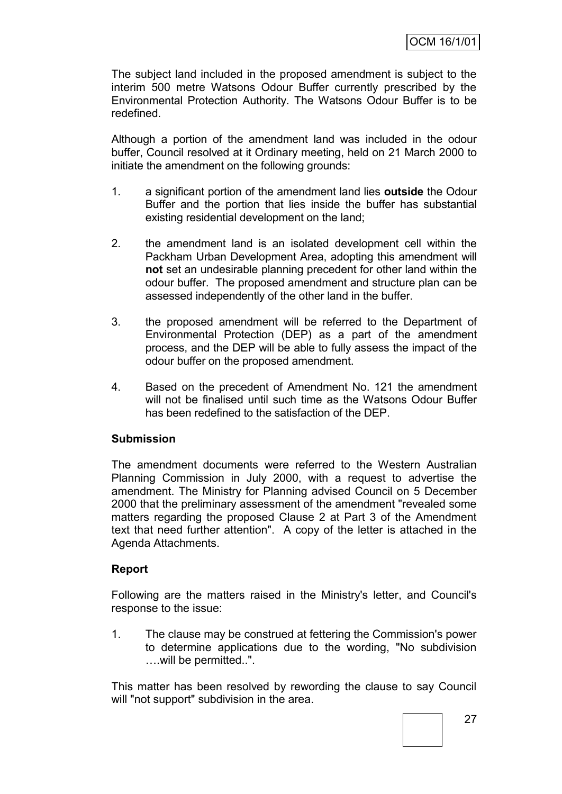The subject land included in the proposed amendment is subject to the interim 500 metre Watsons Odour Buffer currently prescribed by the Environmental Protection Authority. The Watsons Odour Buffer is to be redefined.

Although a portion of the amendment land was included in the odour buffer, Council resolved at it Ordinary meeting, held on 21 March 2000 to initiate the amendment on the following grounds:

- 1. a significant portion of the amendment land lies **outside** the Odour Buffer and the portion that lies inside the buffer has substantial existing residential development on the land;
- 2. the amendment land is an isolated development cell within the Packham Urban Development Area, adopting this amendment will **not** set an undesirable planning precedent for other land within the odour buffer. The proposed amendment and structure plan can be assessed independently of the other land in the buffer.
- 3. the proposed amendment will be referred to the Department of Environmental Protection (DEP) as a part of the amendment process, and the DEP will be able to fully assess the impact of the odour buffer on the proposed amendment.
- 4. Based on the precedent of Amendment No. 121 the amendment will not be finalised until such time as the Watsons Odour Buffer has been redefined to the satisfaction of the DEP.

#### **Submission**

The amendment documents were referred to the Western Australian Planning Commission in July 2000, with a request to advertise the amendment. The Ministry for Planning advised Council on 5 December 2000 that the preliminary assessment of the amendment "revealed some matters regarding the proposed Clause 2 at Part 3 of the Amendment text that need further attention". A copy of the letter is attached in the Agenda Attachments.

#### **Report**

Following are the matters raised in the Ministry's letter, and Council's response to the issue:

1. The clause may be construed at fettering the Commission's power to determine applications due to the wording, "No subdivision ….will be permitted..".

This matter has been resolved by rewording the clause to say Council will "not support" subdivision in the area.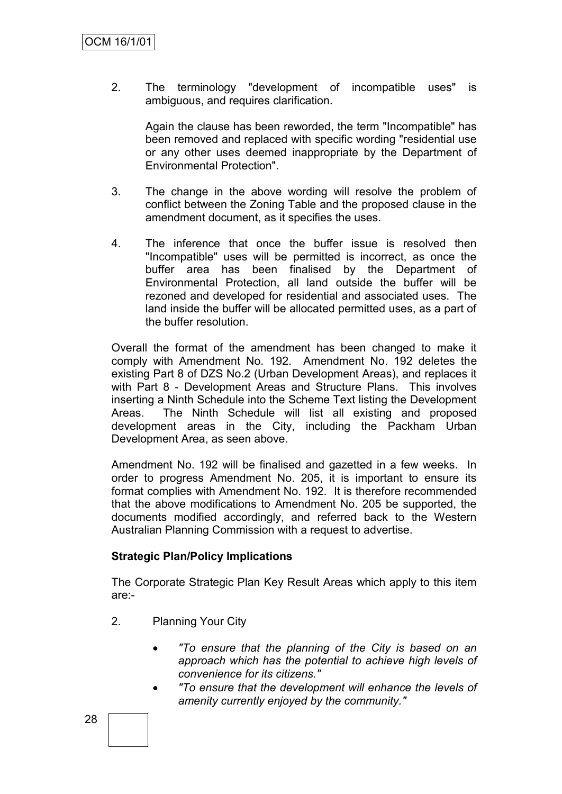2. The terminology "development of incompatible uses" is ambiguous, and requires clarification.

Again the clause has been reworded, the term "Incompatible" has been removed and replaced with specific wording "residential use or any other uses deemed inappropriate by the Department of Environmental Protection".

- 3. The change in the above wording will resolve the problem of conflict between the Zoning Table and the proposed clause in the amendment document, as it specifies the uses.
- 4. The inference that once the buffer issue is resolved then "Incompatible" uses will be permitted is incorrect, as once the buffer area has been finalised by the Department of Environmental Protection, all land outside the buffer will be rezoned and developed for residential and associated uses. The land inside the buffer will be allocated permitted uses, as a part of the buffer resolution.

Overall the format of the amendment has been changed to make it comply with Amendment No. 192. Amendment No. 192 deletes the existing Part 8 of DZS No.2 (Urban Development Areas), and replaces it with Part 8 - Development Areas and Structure Plans. This involves inserting a Ninth Schedule into the Scheme Text listing the Development Areas. The Ninth Schedule will list all existing and proposed development areas in the City, including the Packham Urban Development Area, as seen above.

Amendment No. 192 will be finalised and gazetted in a few weeks. In order to progress Amendment No. 205, it is important to ensure its format complies with Amendment No. 192. It is therefore recommended that the above modifications to Amendment No. 205 be supported, the documents modified accordingly, and referred back to the Western Australian Planning Commission with a request to advertise.

#### **Strategic Plan/Policy Implications**

The Corporate Strategic Plan Key Result Areas which apply to this item are:-

- 2. Planning Your City
	- *"To ensure that the planning of the City is based on an approach which has the potential to achieve high levels of convenience for its citizens."*
	- *"To ensure that the development will enhance the levels of amenity currently enjoyed by the community."*

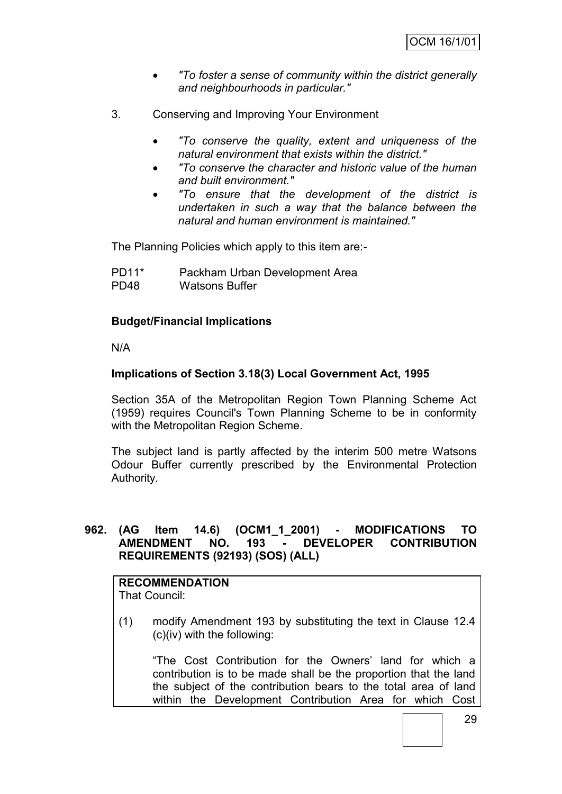- *"To foster a sense of community within the district generally and neighbourhoods in particular."*
- 3. Conserving and Improving Your Environment
	- *"To conserve the quality, extent and uniqueness of the natural environment that exists within the district."*
	- *"To conserve the character and historic value of the human and built environment."*
	- *"To ensure that the development of the district is undertaken in such a way that the balance between the natural and human environment is maintained."*

The Planning Policies which apply to this item are:-

PD11\* Packham Urban Development Area PD48 Watsons Buffer

#### **Budget/Financial Implications**

N/A

#### **Implications of Section 3.18(3) Local Government Act, 1995**

Section 35A of the Metropolitan Region Town Planning Scheme Act (1959) requires Council's Town Planning Scheme to be in conformity with the Metropolitan Region Scheme.

The subject land is partly affected by the interim 500 metre Watsons Odour Buffer currently prescribed by the Environmental Protection Authority.

#### **962. (AG Item 14.6) (OCM1\_1\_2001) - MODIFICATIONS TO AMENDMENT NO. 193 - DEVELOPER CONTRIBUTION REQUIREMENTS (92193) (SOS) (ALL)**

#### **RECOMMENDATION** That Council:

(1) modify Amendment 193 by substituting the text in Clause 12.4 (c)(iv) with the following:

"The Cost Contribution for the Owners' land for which a contribution is to be made shall be the proportion that the land the subject of the contribution bears to the total area of land within the Development Contribution Area for which Cost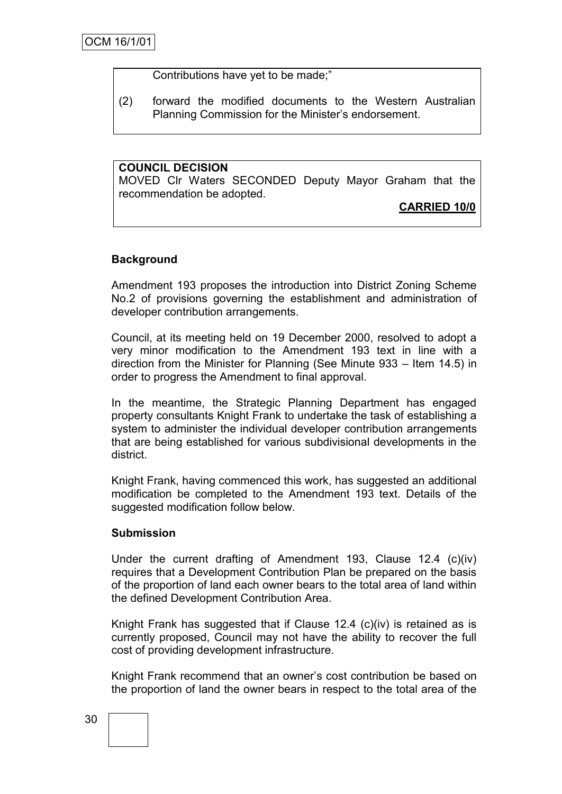Contributions have yet to be made;"

(2) forward the modified documents to the Western Australian Planning Commission for the Minister's endorsement.

**COUNCIL DECISION** MOVED Clr Waters SECONDED Deputy Mayor Graham that the recommendation be adopted.

**CARRIED 10/0**

#### **Background**

Amendment 193 proposes the introduction into District Zoning Scheme No.2 of provisions governing the establishment and administration of developer contribution arrangements.

Council, at its meeting held on 19 December 2000, resolved to adopt a very minor modification to the Amendment 193 text in line with a direction from the Minister for Planning (See Minute 933 – Item 14.5) in order to progress the Amendment to final approval.

In the meantime, the Strategic Planning Department has engaged property consultants Knight Frank to undertake the task of establishing a system to administer the individual developer contribution arrangements that are being established for various subdivisional developments in the district.

Knight Frank, having commenced this work, has suggested an additional modification be completed to the Amendment 193 text. Details of the suggested modification follow below.

#### **Submission**

Under the current drafting of Amendment 193, Clause 12.4 (c)(iv) requires that a Development Contribution Plan be prepared on the basis of the proportion of land each owner bears to the total area of land within the defined Development Contribution Area.

Knight Frank has suggested that if Clause 12.4 (c)(iv) is retained as is currently proposed, Council may not have the ability to recover the full cost of providing development infrastructure.

Knight Frank recommend that an owner's cost contribution be based on the proportion of land the owner bears in respect to the total area of the

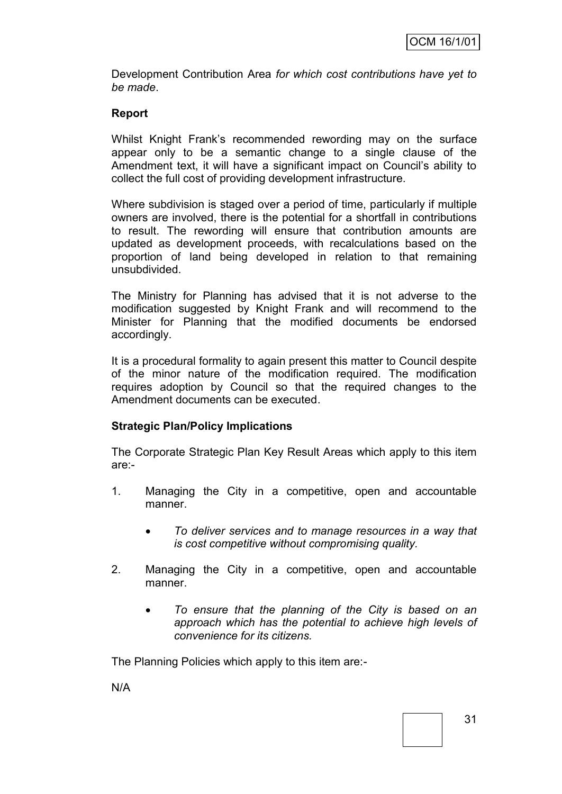Development Contribution Area *for which cost contributions have yet to be made*.

#### **Report**

Whilst Knight Frank's recommended rewording may on the surface appear only to be a semantic change to a single clause of the Amendment text, it will have a significant impact on Council's ability to collect the full cost of providing development infrastructure.

Where subdivision is staged over a period of time, particularly if multiple owners are involved, there is the potential for a shortfall in contributions to result. The rewording will ensure that contribution amounts are updated as development proceeds, with recalculations based on the proportion of land being developed in relation to that remaining unsubdivided.

The Ministry for Planning has advised that it is not adverse to the modification suggested by Knight Frank and will recommend to the Minister for Planning that the modified documents be endorsed accordingly.

It is a procedural formality to again present this matter to Council despite of the minor nature of the modification required. The modification requires adoption by Council so that the required changes to the Amendment documents can be executed.

#### **Strategic Plan/Policy Implications**

The Corporate Strategic Plan Key Result Areas which apply to this item are:-

- 1. Managing the City in a competitive, open and accountable manner.
	- *To deliver services and to manage resources in a way that is cost competitive without compromising quality.*
- 2. Managing the City in a competitive, open and accountable manner.
	- *To ensure that the planning of the City is based on an approach which has the potential to achieve high levels of convenience for its citizens.*

The Planning Policies which apply to this item are:-

N/A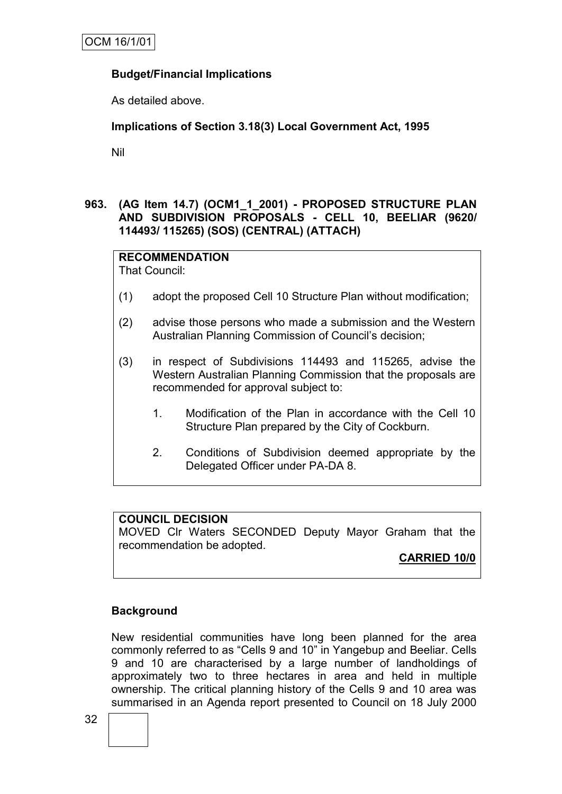#### **Budget/Financial Implications**

As detailed above.

#### **Implications of Section 3.18(3) Local Government Act, 1995**

Nil

#### **963. (AG Item 14.7) (OCM1\_1\_2001) - PROPOSED STRUCTURE PLAN AND SUBDIVISION PROPOSALS - CELL 10, BEELIAR (9620/ 114493/ 115265) (SOS) (CENTRAL) (ATTACH)**

# **RECOMMENDATION**

That Council:

- (1) adopt the proposed Cell 10 Structure Plan without modification;
- (2) advise those persons who made a submission and the Western Australian Planning Commission of Council's decision;
- (3) in respect of Subdivisions 114493 and 115265, advise the Western Australian Planning Commission that the proposals are recommended for approval subject to:
	- 1. Modification of the Plan in accordance with the Cell 10 Structure Plan prepared by the City of Cockburn.
	- 2. Conditions of Subdivision deemed appropriate by the Delegated Officer under PA-DA 8.

#### **COUNCIL DECISION**

MOVED Clr Waters SECONDED Deputy Mayor Graham that the recommendation be adopted.

**CARRIED 10/0**

## **Background**

New residential communities have long been planned for the area commonly referred to as "Cells 9 and 10" in Yangebup and Beeliar. Cells 9 and 10 are characterised by a large number of landholdings of approximately two to three hectares in area and held in multiple ownership. The critical planning history of the Cells 9 and 10 area was summarised in an Agenda report presented to Council on 18 July 2000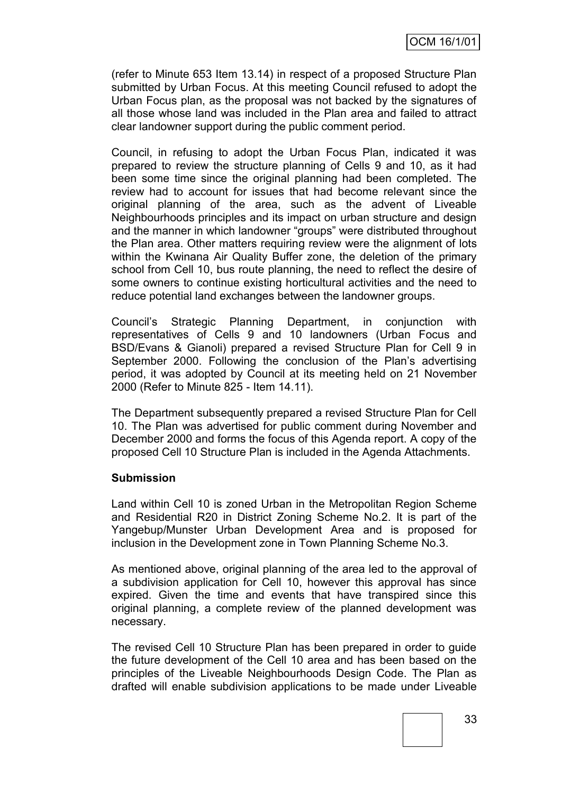(refer to Minute 653 Item 13.14) in respect of a proposed Structure Plan submitted by Urban Focus. At this meeting Council refused to adopt the Urban Focus plan, as the proposal was not backed by the signatures of all those whose land was included in the Plan area and failed to attract clear landowner support during the public comment period.

Council, in refusing to adopt the Urban Focus Plan, indicated it was prepared to review the structure planning of Cells 9 and 10, as it had been some time since the original planning had been completed. The review had to account for issues that had become relevant since the original planning of the area, such as the advent of Liveable Neighbourhoods principles and its impact on urban structure and design and the manner in which landowner "groups" were distributed throughout the Plan area. Other matters requiring review were the alignment of lots within the Kwinana Air Quality Buffer zone, the deletion of the primary school from Cell 10, bus route planning, the need to reflect the desire of some owners to continue existing horticultural activities and the need to reduce potential land exchanges between the landowner groups.

Council's Strategic Planning Department, in conjunction with representatives of Cells 9 and 10 landowners (Urban Focus and BSD/Evans & Gianoli) prepared a revised Structure Plan for Cell 9 in September 2000. Following the conclusion of the Plan's advertising period, it was adopted by Council at its meeting held on 21 November 2000 (Refer to Minute 825 - Item 14.11).

The Department subsequently prepared a revised Structure Plan for Cell 10. The Plan was advertised for public comment during November and December 2000 and forms the focus of this Agenda report. A copy of the proposed Cell 10 Structure Plan is included in the Agenda Attachments.

#### **Submission**

Land within Cell 10 is zoned Urban in the Metropolitan Region Scheme and Residential R20 in District Zoning Scheme No.2. It is part of the Yangebup/Munster Urban Development Area and is proposed for inclusion in the Development zone in Town Planning Scheme No.3.

As mentioned above, original planning of the area led to the approval of a subdivision application for Cell 10, however this approval has since expired. Given the time and events that have transpired since this original planning, a complete review of the planned development was necessary.

The revised Cell 10 Structure Plan has been prepared in order to guide the future development of the Cell 10 area and has been based on the principles of the Liveable Neighbourhoods Design Code. The Plan as drafted will enable subdivision applications to be made under Liveable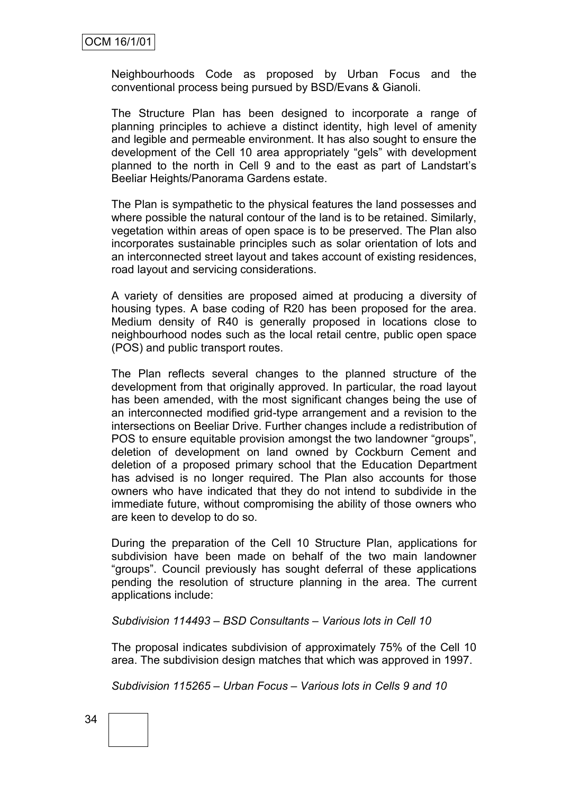Neighbourhoods Code as proposed by Urban Focus and the conventional process being pursued by BSD/Evans & Gianoli.

The Structure Plan has been designed to incorporate a range of planning principles to achieve a distinct identity, high level of amenity and legible and permeable environment. It has also sought to ensure the development of the Cell 10 area appropriately "gels" with development planned to the north in Cell 9 and to the east as part of Landstart's Beeliar Heights/Panorama Gardens estate.

The Plan is sympathetic to the physical features the land possesses and where possible the natural contour of the land is to be retained. Similarly, vegetation within areas of open space is to be preserved. The Plan also incorporates sustainable principles such as solar orientation of lots and an interconnected street layout and takes account of existing residences, road layout and servicing considerations.

A variety of densities are proposed aimed at producing a diversity of housing types. A base coding of R20 has been proposed for the area. Medium density of R40 is generally proposed in locations close to neighbourhood nodes such as the local retail centre, public open space (POS) and public transport routes.

The Plan reflects several changes to the planned structure of the development from that originally approved. In particular, the road layout has been amended, with the most significant changes being the use of an interconnected modified grid-type arrangement and a revision to the intersections on Beeliar Drive. Further changes include a redistribution of POS to ensure equitable provision amongst the two landowner "groups", deletion of development on land owned by Cockburn Cement and deletion of a proposed primary school that the Education Department has advised is no longer required. The Plan also accounts for those owners who have indicated that they do not intend to subdivide in the immediate future, without compromising the ability of those owners who are keen to develop to do so.

During the preparation of the Cell 10 Structure Plan, applications for subdivision have been made on behalf of the two main landowner "groups". Council previously has sought deferral of these applications pending the resolution of structure planning in the area. The current applications include:

*Subdivision 114493 – BSD Consultants – Various lots in Cell 10*

The proposal indicates subdivision of approximately 75% of the Cell 10 area. The subdivision design matches that which was approved in 1997.

*Subdivision 115265 – Urban Focus – Various lots in Cells 9 and 10*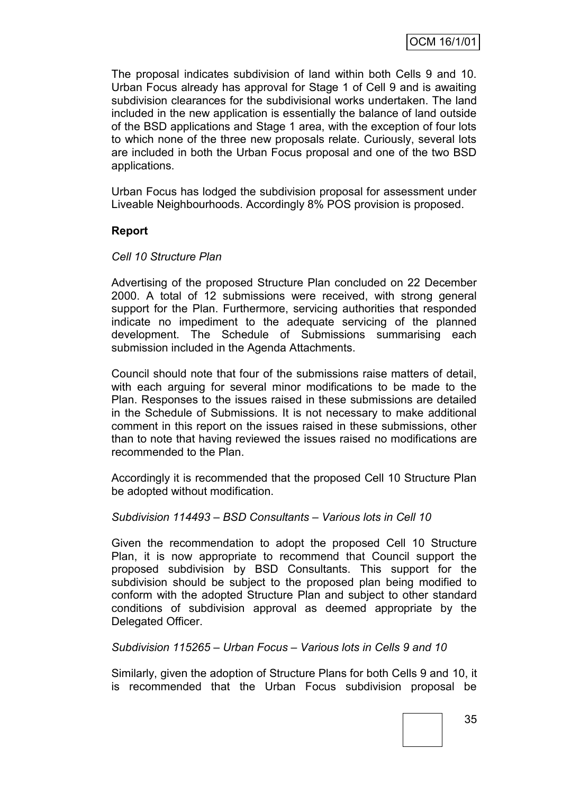The proposal indicates subdivision of land within both Cells 9 and 10. Urban Focus already has approval for Stage 1 of Cell 9 and is awaiting subdivision clearances for the subdivisional works undertaken. The land included in the new application is essentially the balance of land outside of the BSD applications and Stage 1 area, with the exception of four lots to which none of the three new proposals relate. Curiously, several lots are included in both the Urban Focus proposal and one of the two BSD applications.

Urban Focus has lodged the subdivision proposal for assessment under Liveable Neighbourhoods. Accordingly 8% POS provision is proposed.

#### **Report**

#### *Cell 10 Structure Plan*

Advertising of the proposed Structure Plan concluded on 22 December 2000. A total of 12 submissions were received, with strong general support for the Plan. Furthermore, servicing authorities that responded indicate no impediment to the adequate servicing of the planned development. The Schedule of Submissions summarising each submission included in the Agenda Attachments.

Council should note that four of the submissions raise matters of detail, with each arguing for several minor modifications to be made to the Plan. Responses to the issues raised in these submissions are detailed in the Schedule of Submissions. It is not necessary to make additional comment in this report on the issues raised in these submissions, other than to note that having reviewed the issues raised no modifications are recommended to the Plan.

Accordingly it is recommended that the proposed Cell 10 Structure Plan be adopted without modification.

#### *Subdivision 114493 – BSD Consultants – Various lots in Cell 10*

Given the recommendation to adopt the proposed Cell 10 Structure Plan, it is now appropriate to recommend that Council support the proposed subdivision by BSD Consultants. This support for the subdivision should be subject to the proposed plan being modified to conform with the adopted Structure Plan and subject to other standard conditions of subdivision approval as deemed appropriate by the Delegated Officer.

#### *Subdivision 115265 – Urban Focus – Various lots in Cells 9 and 10*

Similarly, given the adoption of Structure Plans for both Cells 9 and 10, it is recommended that the Urban Focus subdivision proposal be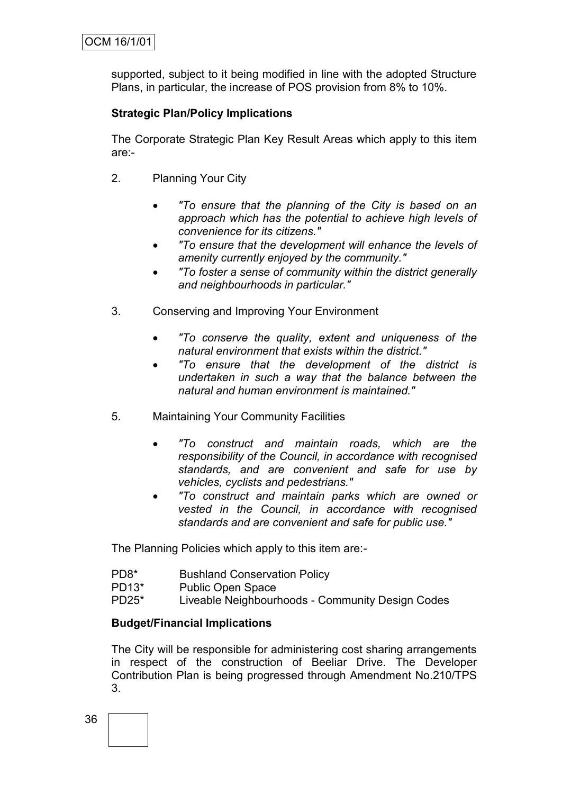supported, subject to it being modified in line with the adopted Structure Plans, in particular, the increase of POS provision from 8% to 10%.

## **Strategic Plan/Policy Implications**

The Corporate Strategic Plan Key Result Areas which apply to this item are:-

- 2. Planning Your City
	- *"To ensure that the planning of the City is based on an approach which has the potential to achieve high levels of convenience for its citizens."*
	- *"To ensure that the development will enhance the levels of amenity currently enjoyed by the community."*
	- *"To foster a sense of community within the district generally and neighbourhoods in particular."*
- 3. Conserving and Improving Your Environment
	- *"To conserve the quality, extent and uniqueness of the natural environment that exists within the district."*
	- *"To ensure that the development of the district is undertaken in such a way that the balance between the natural and human environment is maintained."*
- 5. Maintaining Your Community Facilities
	- *"To construct and maintain roads, which are the responsibility of the Council, in accordance with recognised standards, and are convenient and safe for use by vehicles, cyclists and pedestrians."*
	- *"To construct and maintain parks which are owned or vested in the Council, in accordance with recognised standards and are convenient and safe for public use."*

The Planning Policies which apply to this item are:-

- PD8\* Bushland Conservation Policy
- PD13\* Public Open Space
- PD25\* Liveable Neighbourhoods Community Design Codes

## **Budget/Financial Implications**

The City will be responsible for administering cost sharing arrangements in respect of the construction of Beeliar Drive. The Developer Contribution Plan is being progressed through Amendment No.210/TPS 3.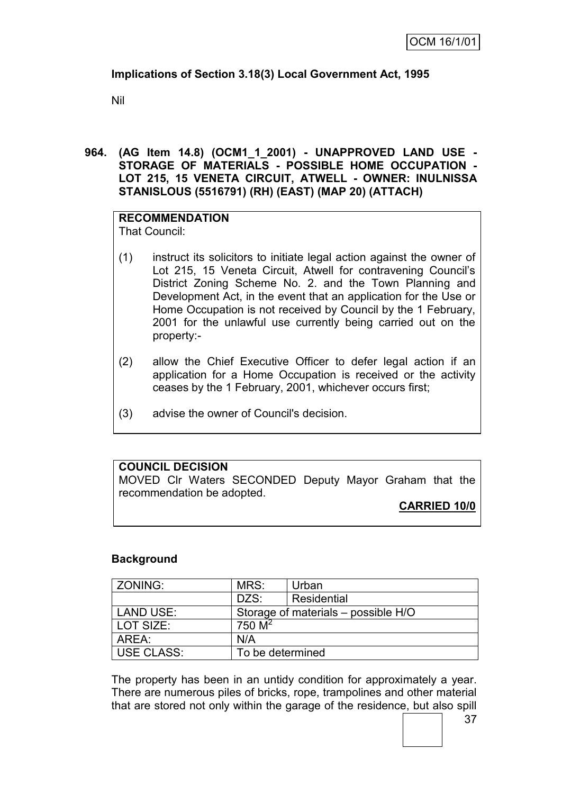## **Implications of Section 3.18(3) Local Government Act, 1995**

Nil

**964. (AG Item 14.8) (OCM1\_1\_2001) - UNAPPROVED LAND USE - STORAGE OF MATERIALS - POSSIBLE HOME OCCUPATION - LOT 215, 15 VENETA CIRCUIT, ATWELL - OWNER: INULNISSA STANISLOUS (5516791) (RH) (EAST) (MAP 20) (ATTACH)**

**RECOMMENDATION** That Council:

- (1) instruct its solicitors to initiate legal action against the owner of Lot 215, 15 Veneta Circuit, Atwell for contravening Council's District Zoning Scheme No. 2. and the Town Planning and Development Act, in the event that an application for the Use or Home Occupation is not received by Council by the 1 February, 2001 for the unlawful use currently being carried out on the property:-
- (2) allow the Chief Executive Officer to defer legal action if an application for a Home Occupation is received or the activity ceases by the 1 February, 2001, whichever occurs first;
- (3) advise the owner of Council's decision.

## **COUNCIL DECISION**

MOVED Clr Waters SECONDED Deputy Mayor Graham that the recommendation be adopted.

**CARRIED 10/0**

#### **Background**

| ZONING:           | MRS:             | Urban                               |
|-------------------|------------------|-------------------------------------|
|                   | DZS:             | Residential                         |
| <b>LAND USE:</b>  |                  | Storage of materials – possible H/O |
| LOT SIZE:         | 750 $M^2$        |                                     |
| AREA:             | N/A              |                                     |
| <b>USE CLASS:</b> | To be determined |                                     |

The property has been in an untidy condition for approximately a year. There are numerous piles of bricks, rope, trampolines and other material that are stored not only within the garage of the residence, but also spill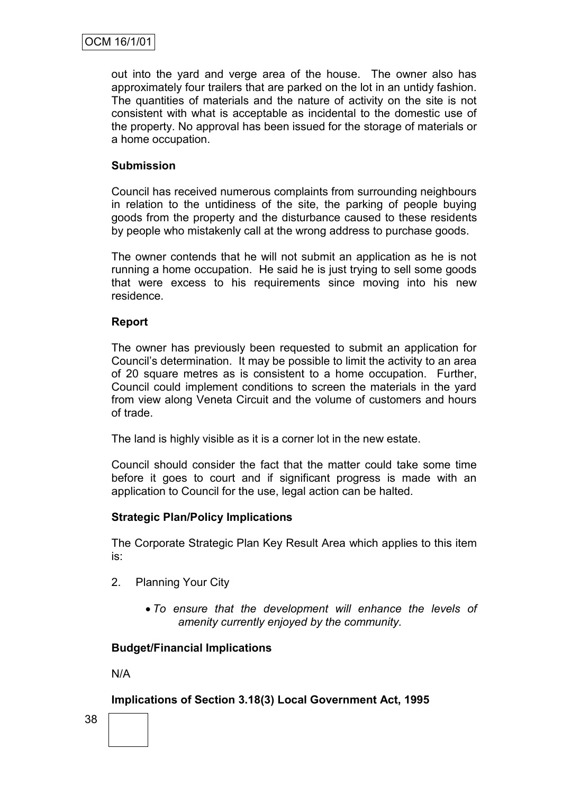out into the yard and verge area of the house. The owner also has approximately four trailers that are parked on the lot in an untidy fashion. The quantities of materials and the nature of activity on the site is not consistent with what is acceptable as incidental to the domestic use of the property. No approval has been issued for the storage of materials or a home occupation.

#### **Submission**

Council has received numerous complaints from surrounding neighbours in relation to the untidiness of the site, the parking of people buying goods from the property and the disturbance caused to these residents by people who mistakenly call at the wrong address to purchase goods.

The owner contends that he will not submit an application as he is not running a home occupation. He said he is just trying to sell some goods that were excess to his requirements since moving into his new residence.

#### **Report**

The owner has previously been requested to submit an application for Council's determination. It may be possible to limit the activity to an area of 20 square metres as is consistent to a home occupation. Further, Council could implement conditions to screen the materials in the yard from view along Veneta Circuit and the volume of customers and hours of trade.

The land is highly visible as it is a corner lot in the new estate.

Council should consider the fact that the matter could take some time before it goes to court and if significant progress is made with an application to Council for the use, legal action can be halted.

#### **Strategic Plan/Policy Implications**

The Corporate Strategic Plan Key Result Area which applies to this item is:

- 2. Planning Your City
	- *To ensure that the development will enhance the levels of amenity currently enjoyed by the community.*

#### **Budget/Financial Implications**

N/A

#### **Implications of Section 3.18(3) Local Government Act, 1995**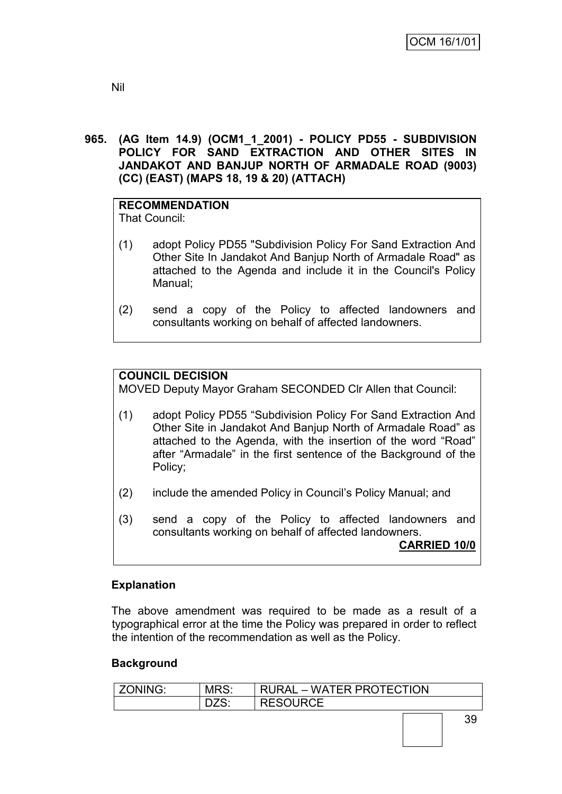#### **965. (AG Item 14.9) (OCM1\_1\_2001) - POLICY PD55 - SUBDIVISION POLICY FOR SAND EXTRACTION AND OTHER SITES IN JANDAKOT AND BANJUP NORTH OF ARMADALE ROAD (9003) (CC) (EAST) (MAPS 18, 19 & 20) (ATTACH)**

# **RECOMMENDATION**

That Council:

- (1) adopt Policy PD55 "Subdivision Policy For Sand Extraction And Other Site In Jandakot And Banjup North of Armadale Road" as attached to the Agenda and include it in the Council's Policy Manual;
- (2) send a copy of the Policy to affected landowners and consultants working on behalf of affected landowners.

## **COUNCIL DECISION**

MOVED Deputy Mayor Graham SECONDED Clr Allen that Council:

- (1) adopt Policy PD55 "Subdivision Policy For Sand Extraction And Other Site in Jandakot And Banjup North of Armadale Road" as attached to the Agenda, with the insertion of the word "Road" after "Armadale" in the first sentence of the Background of the Policy;
- (2) include the amended Policy in Council's Policy Manual; and
- (3) send a copy of the Policy to affected landowners and consultants working on behalf of affected landowners.

**CARRIED 10/0**

## **Explanation**

The above amendment was required to be made as a result of a typographical error at the time the Policy was prepared in order to reflect the intention of the recommendation as well as the Policy.

#### **Background**

| ZONING: | MRS. | RURAL – WATER PROTECTION |
|---------|------|--------------------------|
|         |      | <b>RESOURCE</b>          |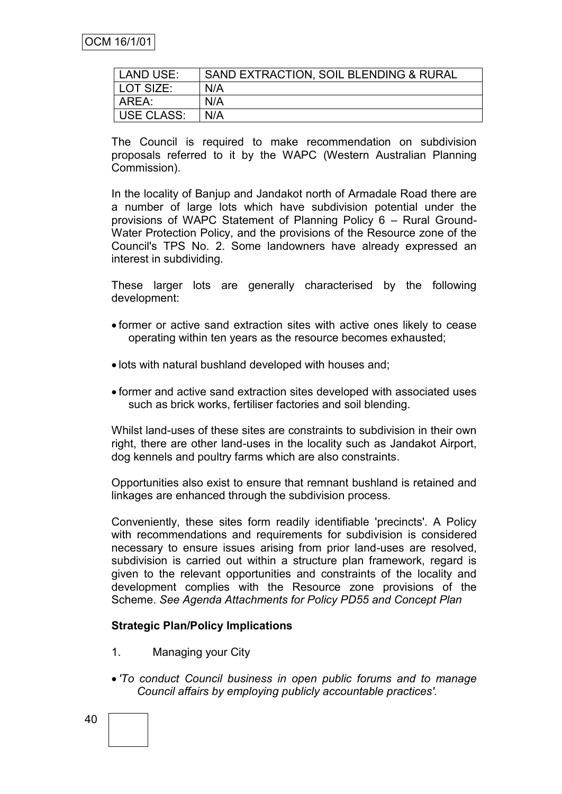| LAND USE:  | SAND EXTRACTION, SOIL BLENDING & RURAL |
|------------|----------------------------------------|
| LOT SIZE:  | N/A                                    |
| AREA:      | N/A                                    |
| USE CLASS: | N/A                                    |

The Council is required to make recommendation on subdivision proposals referred to it by the WAPC (Western Australian Planning Commission).

In the locality of Banjup and Jandakot north of Armadale Road there are a number of large lots which have subdivision potential under the provisions of WAPC Statement of Planning Policy 6 – Rural Ground-Water Protection Policy, and the provisions of the Resource zone of the Council's TPS No. 2. Some landowners have already expressed an interest in subdividing.

These larger lots are generally characterised by the following development:

- former or active sand extraction sites with active ones likely to cease operating within ten years as the resource becomes exhausted;
- lots with natural bushland developed with houses and;
- former and active sand extraction sites developed with associated uses such as brick works, fertiliser factories and soil blending.

Whilst land-uses of these sites are constraints to subdivision in their own right, there are other land-uses in the locality such as Jandakot Airport, dog kennels and poultry farms which are also constraints.

Opportunities also exist to ensure that remnant bushland is retained and linkages are enhanced through the subdivision process.

Conveniently, these sites form readily identifiable 'precincts'. A Policy with recommendations and requirements for subdivision is considered necessary to ensure issues arising from prior land-uses are resolved, subdivision is carried out within a structure plan framework, regard is given to the relevant opportunities and constraints of the locality and development complies with the Resource zone provisions of the Scheme. *See Agenda Attachments for Policy PD55 and Concept Plan*

#### **Strategic Plan/Policy Implications**

- 1. Managing your City
- *'To conduct Council business in open public forums and to manage Council affairs by employing publicly accountable practices'.*
- 40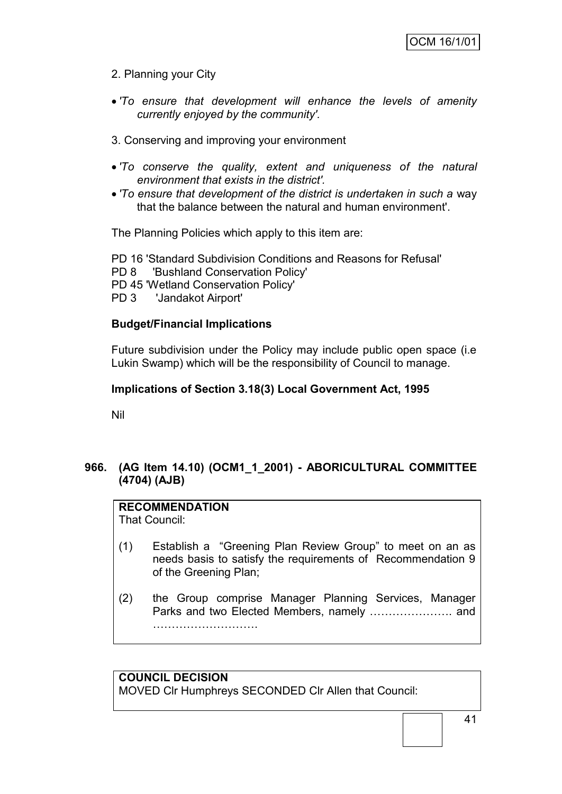## 2. Planning your City

- *'To ensure that development will enhance the levels of amenity currently enjoyed by the community'.*
- 3. Conserving and improving your environment
- *'To conserve the quality, extent and uniqueness of the natural environment that exists in the district'.*
- *'To ensure that development of the district is undertaken in such a* way that the balance between the natural and human environment'.

The Planning Policies which apply to this item are:

PD 16 'Standard Subdivision Conditions and Reasons for Refusal' PD 8 'Bushland Conservation Policy' PD 45 'Wetland Conservation Policy' PD 3 'Jandakot Airport'

#### **Budget/Financial Implications**

Future subdivision under the Policy may include public open space (i.e Lukin Swamp) which will be the responsibility of Council to manage.

#### **Implications of Section 3.18(3) Local Government Act, 1995**

Nil

## **966. (AG Item 14.10) (OCM1\_1\_2001) - ABORICULTURAL COMMITTEE (4704) (AJB)**

## **RECOMMENDATION**

That Council:

- (1) Establish a "Greening Plan Review Group" to meet on an as needs basis to satisfy the requirements of Recommendation 9 of the Greening Plan;
- (2) the Group comprise Manager Planning Services, Manager Parks and two Elected Members, namely …………………. and ……………………….

## **COUNCIL DECISION**

MOVED Clr Humphreys SECONDED Clr Allen that Council: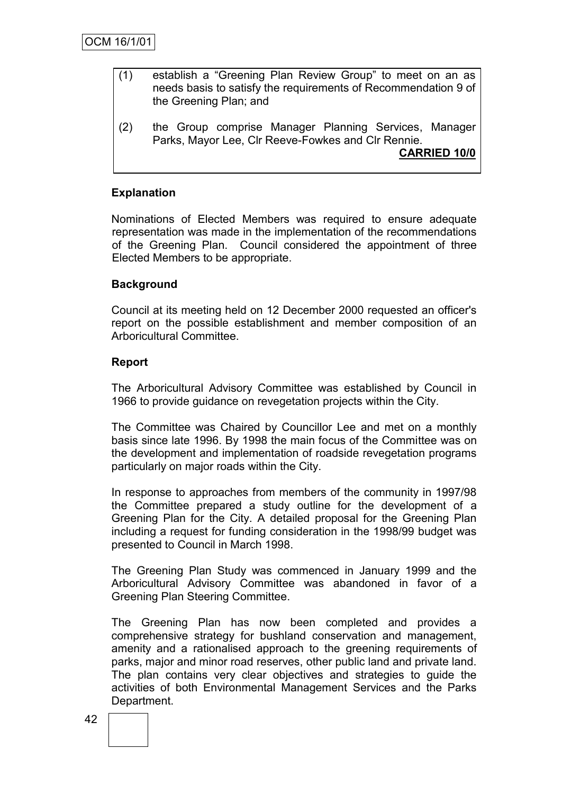- (1) establish a "Greening Plan Review Group" to meet on an as needs basis to satisfy the requirements of Recommendation 9 of the Greening Plan; and
- (2) the Group comprise Manager Planning Services, Manager Parks, Mayor Lee, Clr Reeve-Fowkes and Clr Rennie.

**CARRIED 10/0**

#### **Explanation**

Nominations of Elected Members was required to ensure adequate representation was made in the implementation of the recommendations of the Greening Plan. Council considered the appointment of three Elected Members to be appropriate.

#### **Background**

Council at its meeting held on 12 December 2000 requested an officer's report on the possible establishment and member composition of an Arboricultural Committee.

#### **Report**

The Arboricultural Advisory Committee was established by Council in 1966 to provide guidance on revegetation projects within the City.

The Committee was Chaired by Councillor Lee and met on a monthly basis since late 1996. By 1998 the main focus of the Committee was on the development and implementation of roadside revegetation programs particularly on major roads within the City.

In response to approaches from members of the community in 1997/98 the Committee prepared a study outline for the development of a Greening Plan for the City. A detailed proposal for the Greening Plan including a request for funding consideration in the 1998/99 budget was presented to Council in March 1998.

The Greening Plan Study was commenced in January 1999 and the Arboricultural Advisory Committee was abandoned in favor of a Greening Plan Steering Committee.

The Greening Plan has now been completed and provides a comprehensive strategy for bushland conservation and management, amenity and a rationalised approach to the greening requirements of parks, major and minor road reserves, other public land and private land. The plan contains very clear objectives and strategies to guide the activities of both Environmental Management Services and the Parks Department.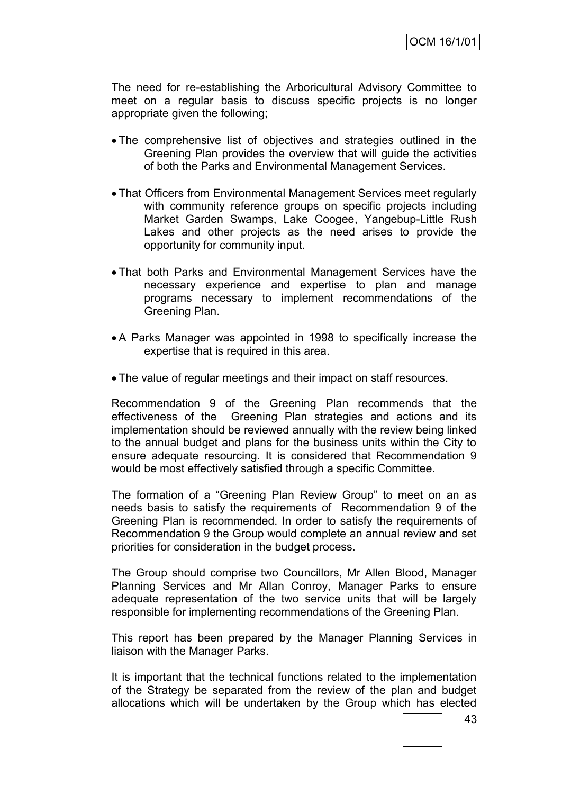The need for re-establishing the Arboricultural Advisory Committee to meet on a regular basis to discuss specific projects is no longer appropriate given the following;

- The comprehensive list of objectives and strategies outlined in the Greening Plan provides the overview that will guide the activities of both the Parks and Environmental Management Services.
- That Officers from Environmental Management Services meet regularly with community reference groups on specific proiects including Market Garden Swamps, Lake Coogee, Yangebup-Little Rush Lakes and other projects as the need arises to provide the opportunity for community input.
- That both Parks and Environmental Management Services have the necessary experience and expertise to plan and manage programs necessary to implement recommendations of the Greening Plan.
- A Parks Manager was appointed in 1998 to specifically increase the expertise that is required in this area.
- The value of regular meetings and their impact on staff resources.

Recommendation 9 of the Greening Plan recommends that the effectiveness of the Greening Plan strategies and actions and its implementation should be reviewed annually with the review being linked to the annual budget and plans for the business units within the City to ensure adequate resourcing. It is considered that Recommendation 9 would be most effectively satisfied through a specific Committee.

The formation of a "Greening Plan Review Group" to meet on an as needs basis to satisfy the requirements of Recommendation 9 of the Greening Plan is recommended. In order to satisfy the requirements of Recommendation 9 the Group would complete an annual review and set priorities for consideration in the budget process.

The Group should comprise two Councillors, Mr Allen Blood, Manager Planning Services and Mr Allan Conroy, Manager Parks to ensure adequate representation of the two service units that will be largely responsible for implementing recommendations of the Greening Plan.

This report has been prepared by the Manager Planning Services in liaison with the Manager Parks.

It is important that the technical functions related to the implementation of the Strategy be separated from the review of the plan and budget allocations which will be undertaken by the Group which has elected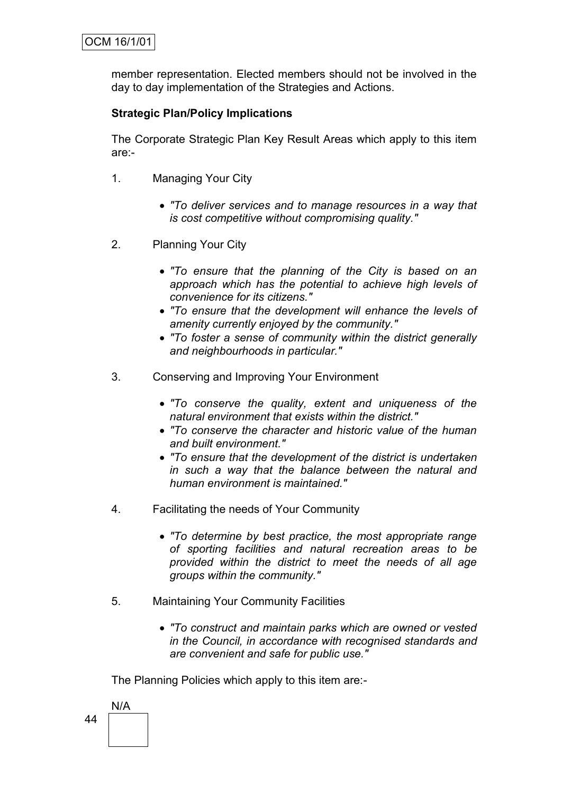member representation. Elected members should not be involved in the day to day implementation of the Strategies and Actions.

## **Strategic Plan/Policy Implications**

The Corporate Strategic Plan Key Result Areas which apply to this item are:-

- 1. Managing Your City
	- *"To deliver services and to manage resources in a way that is cost competitive without compromising quality."*
- 2. Planning Your City
	- *"To ensure that the planning of the City is based on an approach which has the potential to achieve high levels of convenience for its citizens."*
	- *"To ensure that the development will enhance the levels of amenity currently enjoyed by the community."*
	- *"To foster a sense of community within the district generally and neighbourhoods in particular."*
- 3. Conserving and Improving Your Environment
	- *"To conserve the quality, extent and uniqueness of the natural environment that exists within the district."*
	- *"To conserve the character and historic value of the human and built environment."*
	- *"To ensure that the development of the district is undertaken in such a way that the balance between the natural and human environment is maintained."*
- 4. Facilitating the needs of Your Community
	- *"To determine by best practice, the most appropriate range of sporting facilities and natural recreation areas to be provided within the district to meet the needs of all age groups within the community."*
- 5. Maintaining Your Community Facilities
	- *"To construct and maintain parks which are owned or vested in the Council, in accordance with recognised standards and are convenient and safe for public use."*

The Planning Policies which apply to this item are:-

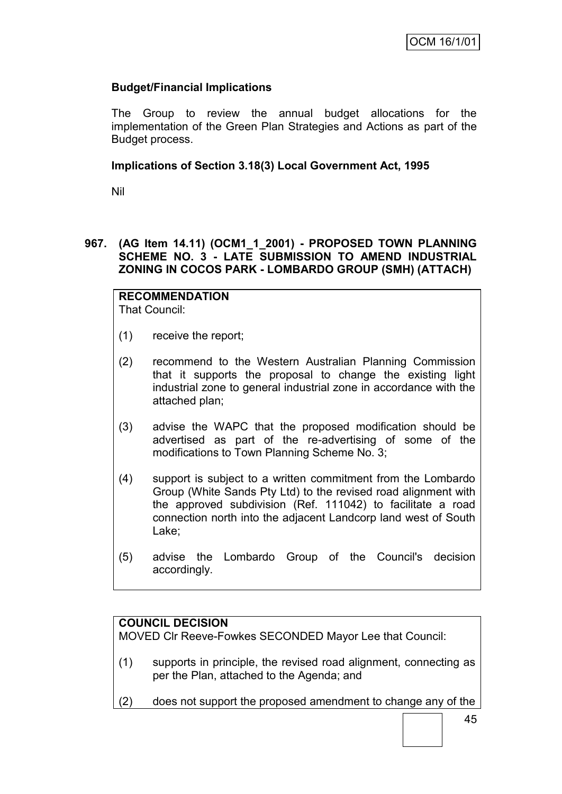## **Budget/Financial Implications**

The Group to review the annual budget allocations for the implementation of the Green Plan Strategies and Actions as part of the Budget process.

#### **Implications of Section 3.18(3) Local Government Act, 1995**

Nil

#### **967. (AG Item 14.11) (OCM1\_1\_2001) - PROPOSED TOWN PLANNING SCHEME NO. 3 - LATE SUBMISSION TO AMEND INDUSTRIAL ZONING IN COCOS PARK - LOMBARDO GROUP (SMH) (ATTACH)**

#### **RECOMMENDATION** That Council:

- (1) receive the report;
- (2) recommend to the Western Australian Planning Commission that it supports the proposal to change the existing light industrial zone to general industrial zone in accordance with the attached plan;
- (3) advise the WAPC that the proposed modification should be advertised as part of the re-advertising of some of the modifications to Town Planning Scheme No. 3;
- (4) support is subject to a written commitment from the Lombardo Group (White Sands Pty Ltd) to the revised road alignment with the approved subdivision (Ref. 111042) to facilitate a road connection north into the adjacent Landcorp land west of South Lake;
- (5) advise the Lombardo Group of the Council's decision accordingly.

## **COUNCIL DECISION**

MOVED Clr Reeve-Fowkes SECONDED Mayor Lee that Council:

- (1) supports in principle, the revised road alignment, connecting as per the Plan, attached to the Agenda; and
- (2) does not support the proposed amendment to change any of the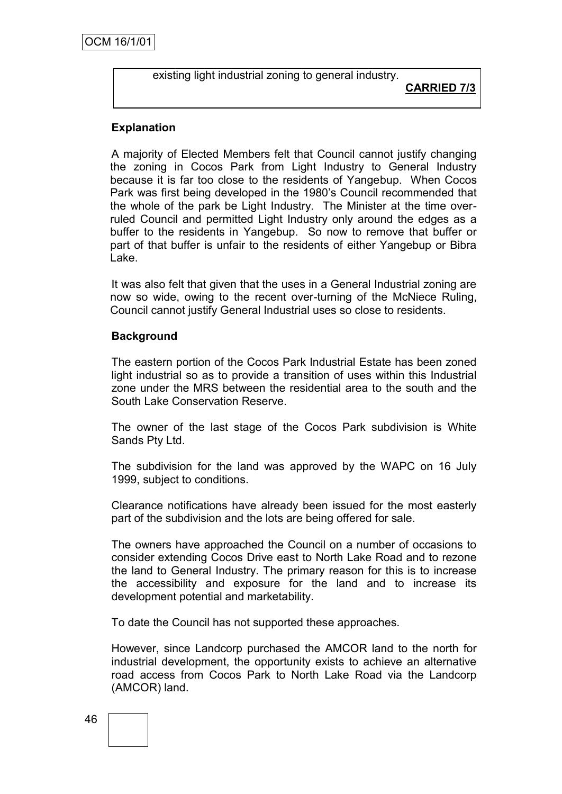existing light industrial zoning to general industry.

# **CARRIED 7/3**

#### **Explanation**

A majority of Elected Members felt that Council cannot justify changing the zoning in Cocos Park from Light Industry to General Industry because it is far too close to the residents of Yangebup. When Cocos Park was first being developed in the 1980's Council recommended that the whole of the park be Light Industry. The Minister at the time overruled Council and permitted Light Industry only around the edges as a buffer to the residents in Yangebup. So now to remove that buffer or part of that buffer is unfair to the residents of either Yangebup or Bibra Lake.

It was also felt that given that the uses in a General Industrial zoning are now so wide, owing to the recent over-turning of the McNiece Ruling, Council cannot justify General Industrial uses so close to residents.

#### **Background**

The eastern portion of the Cocos Park Industrial Estate has been zoned light industrial so as to provide a transition of uses within this Industrial zone under the MRS between the residential area to the south and the South Lake Conservation Reserve.

The owner of the last stage of the Cocos Park subdivision is White Sands Pty Ltd.

The subdivision for the land was approved by the WAPC on 16 July 1999, subject to conditions.

Clearance notifications have already been issued for the most easterly part of the subdivision and the lots are being offered for sale.

The owners have approached the Council on a number of occasions to consider extending Cocos Drive east to North Lake Road and to rezone the land to General Industry. The primary reason for this is to increase the accessibility and exposure for the land and to increase its development potential and marketability.

To date the Council has not supported these approaches.

However, since Landcorp purchased the AMCOR land to the north for industrial development, the opportunity exists to achieve an alternative road access from Cocos Park to North Lake Road via the Landcorp (AMCOR) land.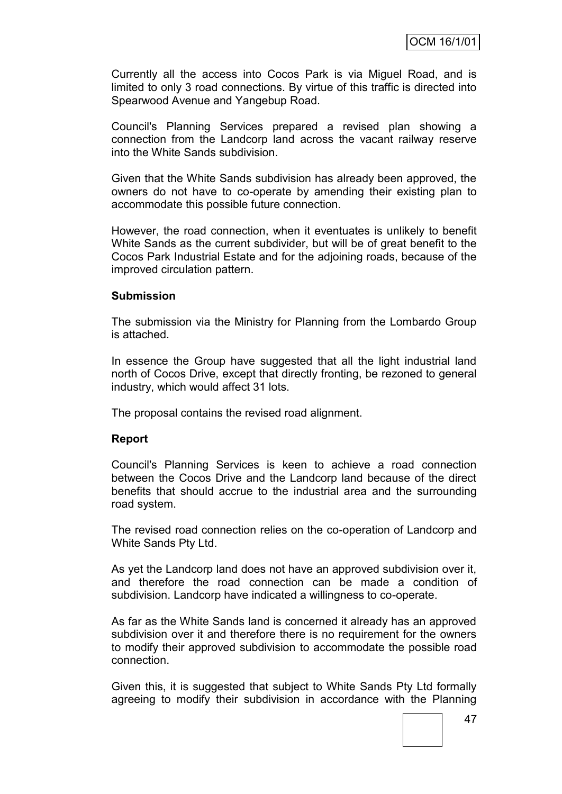Currently all the access into Cocos Park is via Miguel Road, and is limited to only 3 road connections. By virtue of this traffic is directed into Spearwood Avenue and Yangebup Road.

Council's Planning Services prepared a revised plan showing a connection from the Landcorp land across the vacant railway reserve into the White Sands subdivision.

Given that the White Sands subdivision has already been approved, the owners do not have to co-operate by amending their existing plan to accommodate this possible future connection.

However, the road connection, when it eventuates is unlikely to benefit White Sands as the current subdivider, but will be of great benefit to the Cocos Park Industrial Estate and for the adjoining roads, because of the improved circulation pattern.

#### **Submission**

The submission via the Ministry for Planning from the Lombardo Group is attached.

In essence the Group have suggested that all the light industrial land north of Cocos Drive, except that directly fronting, be rezoned to general industry, which would affect 31 lots.

The proposal contains the revised road alignment.

#### **Report**

Council's Planning Services is keen to achieve a road connection between the Cocos Drive and the Landcorp land because of the direct benefits that should accrue to the industrial area and the surrounding road system.

The revised road connection relies on the co-operation of Landcorp and White Sands Pty Ltd.

As yet the Landcorp land does not have an approved subdivision over it, and therefore the road connection can be made a condition of subdivision. Landcorp have indicated a willingness to co-operate.

As far as the White Sands land is concerned it already has an approved subdivision over it and therefore there is no requirement for the owners to modify their approved subdivision to accommodate the possible road connection.

Given this, it is suggested that subject to White Sands Pty Ltd formally agreeing to modify their subdivision in accordance with the Planning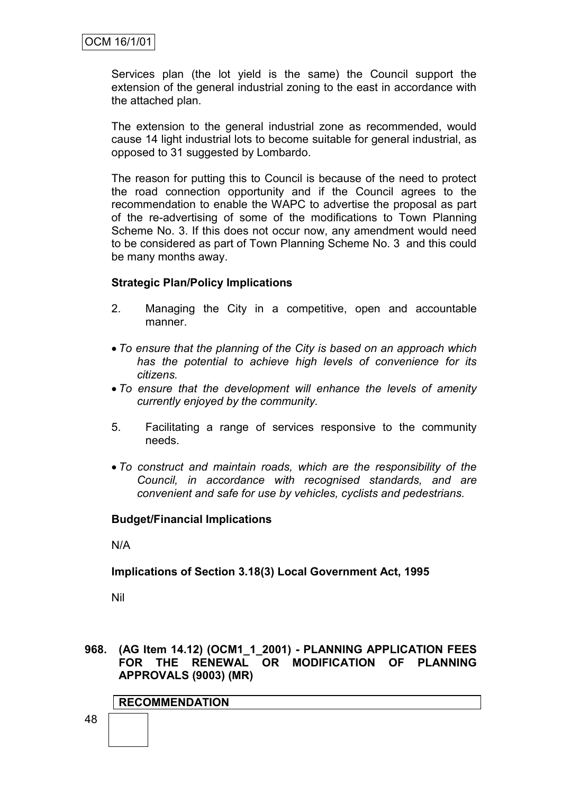Services plan (the lot yield is the same) the Council support the extension of the general industrial zoning to the east in accordance with the attached plan.

The extension to the general industrial zone as recommended, would cause 14 light industrial lots to become suitable for general industrial, as opposed to 31 suggested by Lombardo.

The reason for putting this to Council is because of the need to protect the road connection opportunity and if the Council agrees to the recommendation to enable the WAPC to advertise the proposal as part of the re-advertising of some of the modifications to Town Planning Scheme No. 3. If this does not occur now, any amendment would need to be considered as part of Town Planning Scheme No. 3 and this could be many months away.

#### **Strategic Plan/Policy Implications**

- 2. Managing the City in a competitive, open and accountable manner.
- *To ensure that the planning of the City is based on an approach which has the potential to achieve high levels of convenience for its citizens.*
- *To ensure that the development will enhance the levels of amenity currently enjoyed by the community.*
- 5. Facilitating a range of services responsive to the community needs.
- *To construct and maintain roads, which are the responsibility of the Council, in accordance with recognised standards, and are convenient and safe for use by vehicles, cyclists and pedestrians.*

#### **Budget/Financial Implications**

N/A

#### **Implications of Section 3.18(3) Local Government Act, 1995**

Nil

**968. (AG Item 14.12) (OCM1\_1\_2001) - PLANNING APPLICATION FEES FOR THE RENEWAL OR MODIFICATION OF PLANNING APPROVALS (9003) (MR)**

#### **RECOMMENDATION**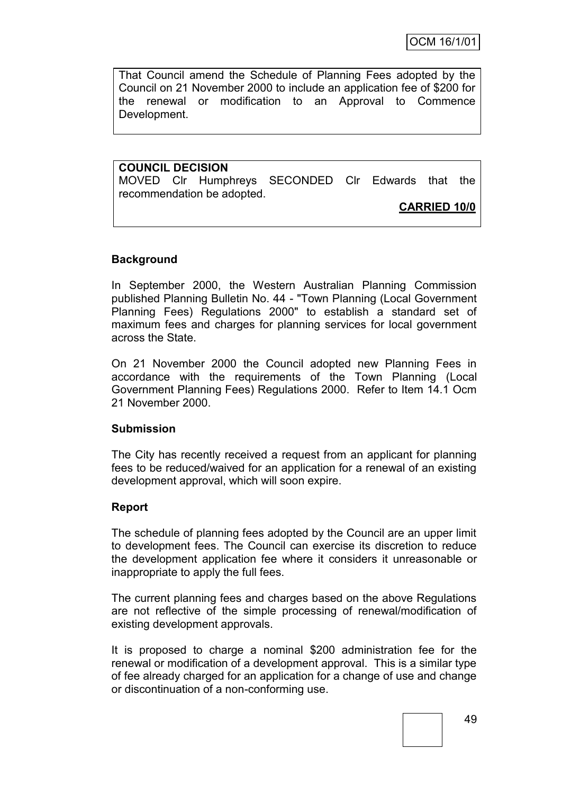That Council amend the Schedule of Planning Fees adopted by the Council on 21 November 2000 to include an application fee of \$200 for the renewal or modification to an Approval to Commence Development.

**COUNCIL DECISION** MOVED Clr Humphreys SECONDED Clr Edwards that the recommendation be adopted.

#### **CARRIED 10/0**

#### **Background**

In September 2000, the Western Australian Planning Commission published Planning Bulletin No. 44 - "Town Planning (Local Government Planning Fees) Regulations 2000" to establish a standard set of maximum fees and charges for planning services for local government across the State.

On 21 November 2000 the Council adopted new Planning Fees in accordance with the requirements of the Town Planning (Local Government Planning Fees) Regulations 2000. Refer to Item 14.1 Ocm 21 November 2000.

#### **Submission**

The City has recently received a request from an applicant for planning fees to be reduced/waived for an application for a renewal of an existing development approval, which will soon expire.

#### **Report**

The schedule of planning fees adopted by the Council are an upper limit to development fees. The Council can exercise its discretion to reduce the development application fee where it considers it unreasonable or inappropriate to apply the full fees.

The current planning fees and charges based on the above Regulations are not reflective of the simple processing of renewal/modification of existing development approvals.

It is proposed to charge a nominal \$200 administration fee for the renewal or modification of a development approval. This is a similar type of fee already charged for an application for a change of use and change or discontinuation of a non-conforming use.

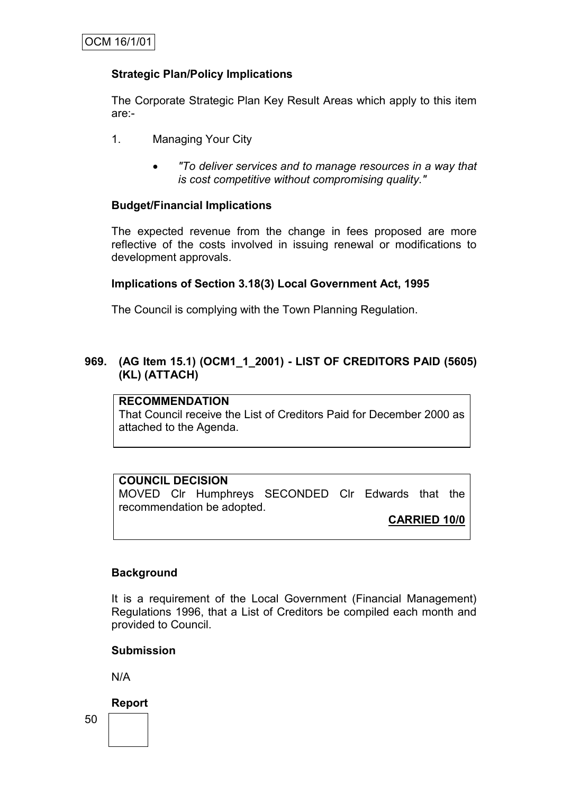#### **Strategic Plan/Policy Implications**

The Corporate Strategic Plan Key Result Areas which apply to this item are:-

- 1. Managing Your City
	- *"To deliver services and to manage resources in a way that is cost competitive without compromising quality."*

#### **Budget/Financial Implications**

The expected revenue from the change in fees proposed are more reflective of the costs involved in issuing renewal or modifications to development approvals.

#### **Implications of Section 3.18(3) Local Government Act, 1995**

The Council is complying with the Town Planning Regulation.

#### **969. (AG Item 15.1) (OCM1\_1\_2001) - LIST OF CREDITORS PAID (5605) (KL) (ATTACH)**

#### **RECOMMENDATION**

That Council receive the List of Creditors Paid for December 2000 as attached to the Agenda.

#### **COUNCIL DECISION**

MOVED Clr Humphreys SECONDED Clr Edwards that the recommendation be adopted.

#### **CARRIED 10/0**

#### **Background**

It is a requirement of the Local Government (Financial Management) Regulations 1996, that a List of Creditors be compiled each month and provided to Council.

#### **Submission**

N/A

**Report**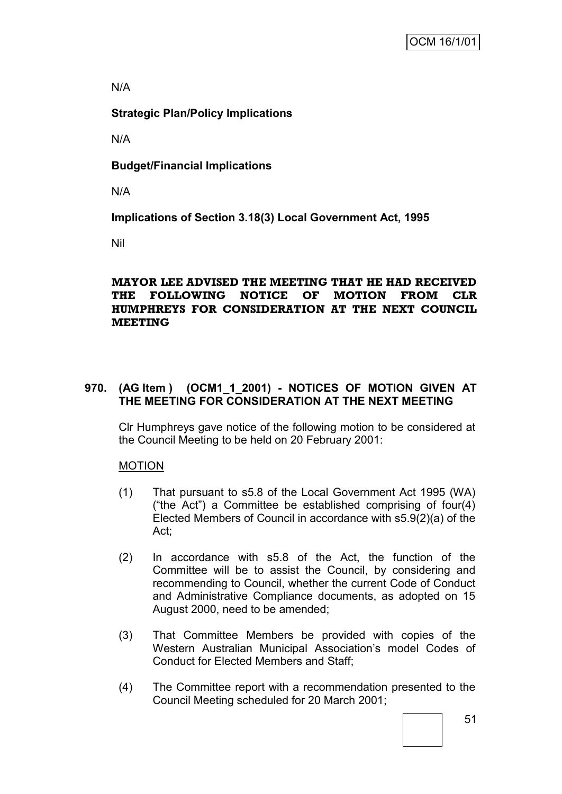#### N/A

## **Strategic Plan/Policy Implications**

N/A

**Budget/Financial Implications**

N/A

**Implications of Section 3.18(3) Local Government Act, 1995**

Nil

#### **MAYOR LEE ADVISED THE MEETING THAT HE HAD RECEIVED THE FOLLOWING NOTICE OF MOTION FROM CLR HUMPHREYS FOR CONSIDERATION AT THE NEXT COUNCIL MEETING**

## **970. (AG Item ) (OCM1\_1\_2001) - NOTICES OF MOTION GIVEN AT THE MEETING FOR CONSIDERATION AT THE NEXT MEETING**

Clr Humphreys gave notice of the following motion to be considered at the Council Meeting to be held on 20 February 2001:

## **MOTION**

- (1) That pursuant to s5.8 of the Local Government Act 1995 (WA) ("the Act") a Committee be established comprising of four(4) Elected Members of Council in accordance with s5.9(2)(a) of the Act;
- (2) In accordance with s5.8 of the Act, the function of the Committee will be to assist the Council, by considering and recommending to Council, whether the current Code of Conduct and Administrative Compliance documents, as adopted on 15 August 2000, need to be amended;
- (3) That Committee Members be provided with copies of the Western Australian Municipal Association's model Codes of Conduct for Elected Members and Staff;
- (4) The Committee report with a recommendation presented to the Council Meeting scheduled for 20 March 2001;

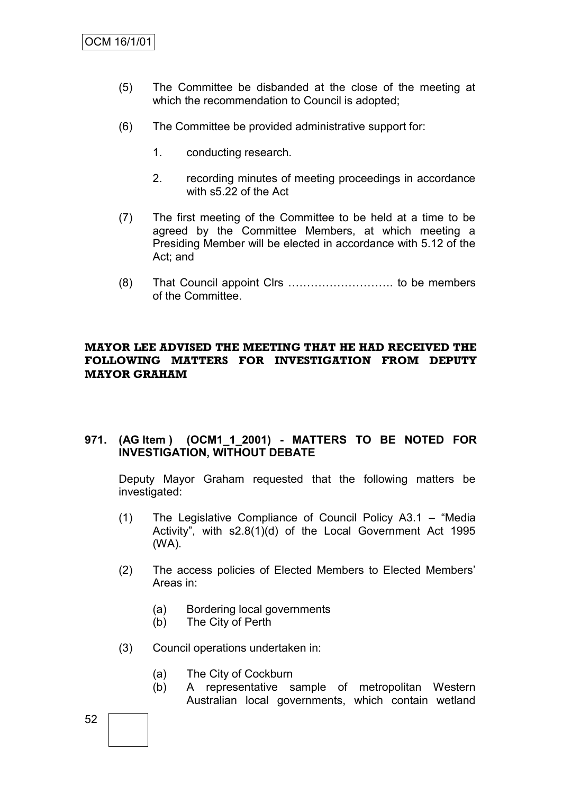- (5) The Committee be disbanded at the close of the meeting at which the recommendation to Council is adopted;
- (6) The Committee be provided administrative support for:
	- 1. conducting research.
	- 2. recording minutes of meeting proceedings in accordance with s5.22 of the Act
- (7) The first meeting of the Committee to be held at a time to be agreed by the Committee Members, at which meeting a Presiding Member will be elected in accordance with 5.12 of the Act; and
- (8) That Council appoint Clrs ………………………. to be members of the Committee.

#### **MAYOR LEE ADVISED THE MEETING THAT HE HAD RECEIVED THE FOLLOWING MATTERS FOR INVESTIGATION FROM DEPUTY MAYOR GRAHAM**

#### **971. (AG Item ) (OCM1\_1\_2001) - MATTERS TO BE NOTED FOR INVESTIGATION, WITHOUT DEBATE**

Deputy Mayor Graham requested that the following matters be investigated:

- (1) The Legislative Compliance of Council Policy A3.1 "Media Activity", with s2.8(1)(d) of the Local Government Act 1995 (WA).
- (2) The access policies of Elected Members to Elected Members' Areas in:
	- (a) Bordering local governments
	- (b) The City of Perth
- (3) Council operations undertaken in:
	- (a) The City of Cockburn
	- (b) A representative sample of metropolitan Western Australian local governments, which contain wetland